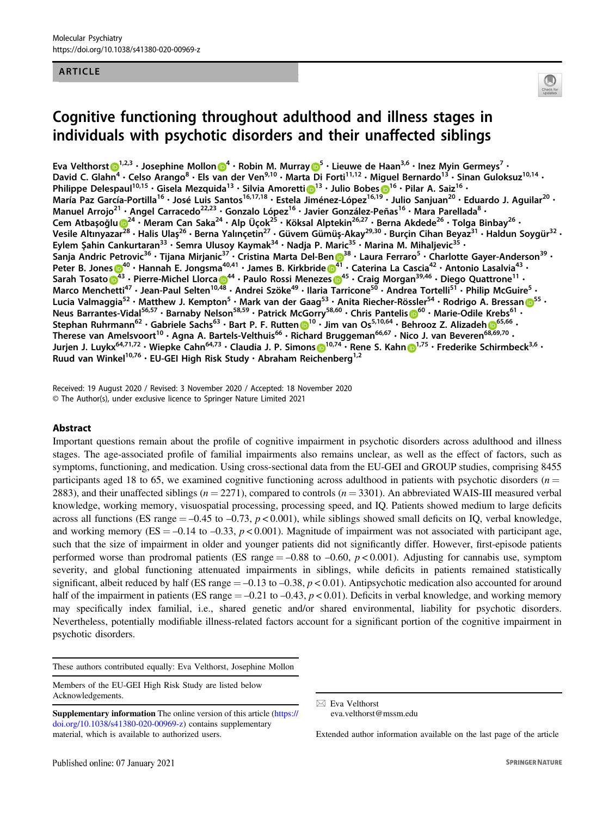### ARTICLE



# Cognitive functioning throughout adulthood and illness stages in individuals with psychotic disorders and their unaffected siblings

Eva Velthorst $\bigcirc^{\!\!-1,2,3}\cdot$  $\bigcirc^{\!\!-1,2,3}\cdot$  $\bigcirc^{\!\!-1,2,3}\cdot$  Josephine Mollon $\bigcirc^{\!\!-4}\cdot$  $\bigcirc^{\!\!-4}\cdot$  $\bigcirc^{\!\!-4}\cdot$  Robin M. Murra[y](http://orcid.org/0000-0003-0829-0519) $\bigcirc^{\!\!-5}\cdot$  $\bigcirc^{\!\!-5}\cdot$  $\bigcirc^{\!\!-5}\cdot$  Lieuwe de Haan $^{3,6}\cdot$  Inez Myin Germeys $^7\cdot$ David C. Glahn<sup>4</sup> • Celso Arango<sup>8</sup> • Els van der Ven<sup>9,10</sup> • Marta Di Forti<sup>11,12</sup> • Miguel Bernardo<sup>13</sup> • Sinan Guloksuz<sup>10,14</sup> • Philippe Delespaul<sup>[1](http://orcid.org/0000-0003-2187-4033)0,15</sup> • Gisela Mezquida<sup>13</sup> • Silvia Amoretti 13 • Julio Bobes 1<sup>16</sup> • Pilar A. Saiz<sup>16</sup> • María Paz García-Portilla<sup>16</sup> • José Luis Santos<sup>16,17,18</sup> • Estela Jiménez-López<sup>16,1[9](http://orcid.org/0000-0003-2187-4033)</sup> • Julio Sanjuan<sup>20</sup> • Eduardo J. Aguilar<sup>20</sup> • Manuel Arrojo<sup>21</sup> · Angel Carracedo<sup>22,23</sup> · Gonzalo López<sup>16</sup> · Javier González-Peñas<sup>16</sup> · Mara Parellada<sup>8</sup> · Cem Atbaşoğl[u](http://orcid.org/0000-0002-8211-6095)  $\bigcirc^{24}\cdot$  $\bigcirc^{24}\cdot$  $\bigcirc^{24}\cdot$  Meram Can Saka<sup>24</sup> • Alp Üçok<sup>25</sup> • Köksal Alptekin<sup>26,27</sup> • Berna Akdede<sup>26</sup> • Tolga Binbay<sup>26</sup> • Vesile Altınyazar<sup>[28](http://orcid.org/0000-0002-8211-6095)</sup> • Halis Ulaş<sup>26</sup> • Berna Yalınçetin<sup>27</sup> • Güvem Gümüş-Akay<sup>29,30</sup> • Burçin Cihan Beyaz<sup>31</sup> • Haldun Soygür<sup>32</sup> • Eylem Şahin Cankurtaran<sup>33</sup> • Semra Ulusoy Kaymak<sup>34</sup> • Nadja P. Maric<sup>35</sup> • Marina M. Mihaljevic<sup>35</sup> • Sanja Andric Petrovic<sup>[3](http://orcid.org/0000-0003-0145-9975)6</sup> • Tijana Mirjanic<sup>37</sup> • Cristina Marta Del-Ben D<sup>38</sup> • Laura Ferraro<sup>5</sup> • Charlotte Gayer-Anderson<sup>39</sup> • Peter B. Jone[s](http://orcid.org/0000-0002-0387-880X)  $0^{40}$  $0^{40}$  $0^{40}$  • Hannah E. Jongsma<sup>40,4[1](http://orcid.org/0000-0003-0145-9975)</sup> • James B. Kirkbride  $0^{41}$  • Caterina La Cascia<sup>42</sup> • Antonio Lasalvia<sup>43</sup> • Sarah Tosato <sup>[4](http://orcid.org/0000-0001-6330-3314)[3](http://orcid.org/0000-0002-0387-880X)</sup> • Pierre-Michel Llorca <sup>14</sup> • Paulo Rossi Menezes <sup>645</sup> • Craig Morgan<sup>39,46</sup> • Diego Quattrone<sup>11</sup> • Marco Menchetti<sup>47</sup> · Jean-Paul Selten<sup>10[,48](http://orcid.org/0000-0001-7438-8990)</sup> · Andrei Szöke<sup>49</sup> · Ilaria Tarricone<sup>50</sup> · Andrea Tortelli<sup>5T</sup> · Philip McGuire<sup>5</sup> · Lucia Valmaggia<sup>[5](http://orcid.org/0000-0002-0868-4449)2</sup> • Matthew J. Kempton<sup>5</sup> • Mark van der Gaag<sup>53</sup> • Anita Riecher-Rössler<sup>54</sup> • Rodrigo A. Bressan 655 • Neu[s](http://orcid.org/0000-0002-9565-0238) Barrantes-Vidal<sup>5[6](http://orcid.org/0000-0002-9565-0238),57</sup> • Barnaby Nelson<sup>58,59</sup> • Patrick McGorry<sup>58,60</sup> • Chris Pantelis 6<sup>60</sup> • Marie-Odile Krebs<sup>61</sup> • Stephan Ruhrmann<sup>62</sup> • Gabriele Sachs<sup>63</sup> • Bart P. F. Rutten [1](http://orcid.org/0000-0002-9834-6346)0<sup>10</sup> • Jim van Os<sup>5,10,[6](http://orcid.org/0000-0002-1415-8007)4</sup> • Behrooz Z. Alizadeh 165,66 • Therese van Amelsvoort<sup>10</sup> • Agna A. Bartels-Velthuis<sup>66</sup> • Richard Bruggeman<sup>66,67</sup> • Nico J. van Beveren<sup>[68,69](http://orcid.org/0000-0002-1415-8007),70</sup> • Jurjen J. Luykx<sup>64,7[1](http://orcid.org/0000-0001-5909-8004),72</sup> • Wiepke Cahn<sup>64,73</sup> • Claudia J. P. Simons D<sup>10,74</sup> • Rene S. Kahn D<sup>1,75</sup> • Frederike Schirmbeck<sup>3,6</sup> • Ruud van Winkel<sup>10,76</sup> · EU-GEI High Risk Study · Abraham Reichenberg<sup>1,2</sup>

Received: 19 August 2020 / Revised: 3 November 2020 / Accepted: 18 November 2020 © The Author(s), under exclusive licence to Springer Nature Limited 2021

## Abstract

Important questions remain about the profile of cognitive impairment in psychotic disorders across adulthood and illness stages. The age-associated profile of familial impairments also remains unclear, as well as the effect of factors, such as symptoms, functioning, and medication. Using cross-sectional data from the EU-GEI and GROUP studies, comprising 8455 participants aged 18 to 65, we examined cognitive functioning across adulthood in patients with psychotic disorders  $(n =$ 2883), and their unaffected siblings ( $n = 2271$ ), compared to controls ( $n = 3301$ ). An abbreviated WAIS-III measured verbal knowledge, working memory, visuospatial processing, processing speed, and IQ. Patients showed medium to large deficits across all functions (ES range  $= -0.45$  to  $-0.73$ ,  $p < 0.001$ ), while siblings showed small deficits on IQ, verbal knowledge, and working memory ( $ES = -0.14$  to  $-0.33$ ,  $p < 0.001$ ). Magnitude of impairment was not associated with participant age, such that the size of impairment in older and younger patients did not significantly differ. However, first-episode patients performed worse than prodromal patients (ES range  $=$  -0.88 to -0.60,  $p$  < 0.001). Adjusting for cannabis use, symptom severity, and global functioning attenuated impairments in siblings, while deficits in patients remained statistically significant, albeit reduced by half (ES range  $= -0.13$  to  $-0.38$ ,  $p < 0.01$ ). Antipsychotic medication also accounted for around half of the impairment in patients (ES range  $=-0.21$  to  $-0.43$ ,  $p < 0.01$ ). Deficits in verbal knowledge, and working memory may specifically index familial, i.e., shared genetic and/or shared environmental, liability for psychotic disorders. Nevertheless, potentially modifiable illness-related factors account for a significant portion of the cognitive impairment in psychotic disorders.

These authors contributed equally: Eva Velthorst, Josephine Mollon

Members of the EU-GEI High Risk Study are listed below Acknowledgements.

 $\boxtimes$  Eva Velthorst [eva.velthorst@mssm.edu](mailto:eva.velthorst@mssm.edu)

Extended author information available on the last page of the article

Supplementary information The online version of this article ([https://](https://doi.org/10.1038/s41380-020-00969-z) [doi.org/10.1038/s41380-020-00969-z](https://doi.org/10.1038/s41380-020-00969-z)) contains supplementary material, which is available to authorized users.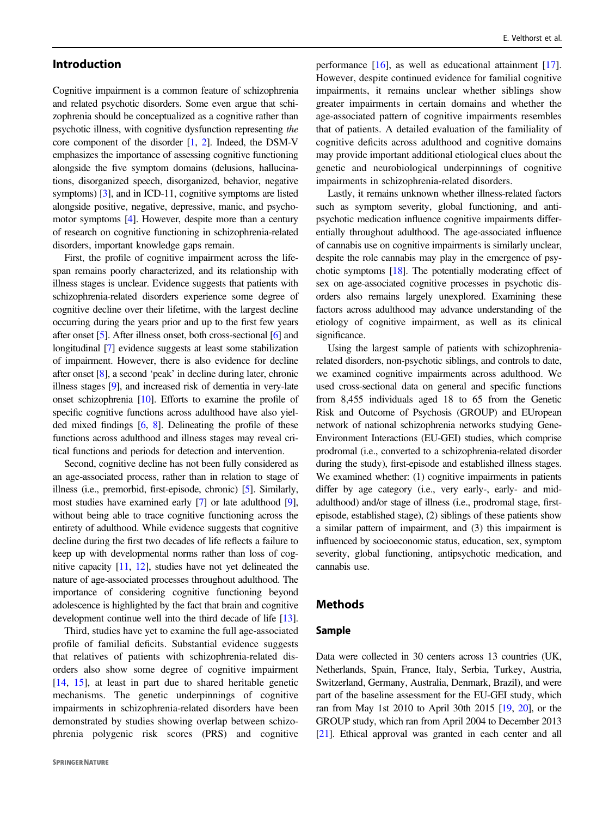# Introduction

Cognitive impairment is a common feature of schizophrenia and related psychotic disorders. Some even argue that schizophrenia should be conceptualized as a cognitive rather than psychotic illness, with cognitive dysfunction representing the core component of the disorder [\[1,](#page-10-0) [2](#page-10-0)]. Indeed, the DSM-V emphasizes the importance of assessing cognitive functioning alongside the five symptom domains (delusions, hallucinations, disorganized speech, disorganized, behavior, negative symptoms) [\[3](#page-10-0)], and in ICD-11, cognitive symptoms are listed alongside positive, negative, depressive, manic, and psychomotor symptoms [[4\]](#page-10-0). However, despite more than a century of research on cognitive functioning in schizophrenia-related disorders, important knowledge gaps remain.

First, the profile of cognitive impairment across the lifespan remains poorly characterized, and its relationship with illness stages is unclear. Evidence suggests that patients with schizophrenia-related disorders experience some degree of cognitive decline over their lifetime, with the largest decline occurring during the years prior and up to the first few years after onset [\[5](#page-10-0)]. After illness onset, both cross-sectional [[6\]](#page-10-0) and longitudinal [[7](#page-10-0)] evidence suggests at least some stabilization of impairment. However, there is also evidence for decline after onset [\[8](#page-10-0)], a second 'peak' in decline during later, chronic illness stages [\[9\]](#page-10-0), and increased risk of dementia in very-late onset schizophrenia [\[10\]](#page-11-0). Efforts to examine the profile of specific cognitive functions across adulthood have also yielded mixed findings [\[6](#page-10-0), [8\]](#page-10-0). Delineating the profile of these functions across adulthood and illness stages may reveal critical functions and periods for detection and intervention.

Second, cognitive decline has not been fully considered as an age-associated process, rather than in relation to stage of illness (i.e., premorbid, first-episode, chronic) [\[5](#page-10-0)]. Similarly, most studies have examined early [[7](#page-10-0)] or late adulthood [[9\]](#page-10-0), without being able to trace cognitive functioning across the entirety of adulthood. While evidence suggests that cognitive decline during the first two decades of life reflects a failure to keep up with developmental norms rather than loss of cognitive capacity [\[11,](#page-11-0) [12\]](#page-11-0), studies have not yet delineated the nature of age-associated processes throughout adulthood. The importance of considering cognitive functioning beyond adolescence is highlighted by the fact that brain and cognitive development continue well into the third decade of life [\[13\]](#page-11-0).

Third, studies have yet to examine the full age-associated profile of familial deficits. Substantial evidence suggests that relatives of patients with schizophrenia-related disorders also show some degree of cognitive impairment [\[14](#page-11-0), [15\]](#page-11-0), at least in part due to shared heritable genetic mechanisms. The genetic underpinnings of cognitive impairments in schizophrenia-related disorders have been demonstrated by studies showing overlap between schizophrenia polygenic risk scores (PRS) and cognitive performance [\[16](#page-11-0)], as well as educational attainment [[17\]](#page-11-0). However, despite continued evidence for familial cognitive impairments, it remains unclear whether siblings show greater impairments in certain domains and whether the age-associated pattern of cognitive impairments resembles that of patients. A detailed evaluation of the familiality of cognitive deficits across adulthood and cognitive domains may provide important additional etiological clues about the genetic and neurobiological underpinnings of cognitive impairments in schizophrenia-related disorders.

Lastly, it remains unknown whether illness-related factors such as symptom severity, global functioning, and antipsychotic medication influence cognitive impairments differentially throughout adulthood. The age-associated influence of cannabis use on cognitive impairments is similarly unclear, despite the role cannabis may play in the emergence of psychotic symptoms [\[18\]](#page-11-0). The potentially moderating effect of sex on age-associated cognitive processes in psychotic disorders also remains largely unexplored. Examining these factors across adulthood may advance understanding of the etiology of cognitive impairment, as well as its clinical significance.

Using the largest sample of patients with schizophreniarelated disorders, non-psychotic siblings, and controls to date, we examined cognitive impairments across adulthood. We used cross-sectional data on general and specific functions from 8,455 individuals aged 18 to 65 from the Genetic Risk and Outcome of Psychosis (GROUP) and EUropean network of national schizophrenia networks studying Gene-Environment Interactions (EU-GEI) studies, which comprise prodromal (i.e., converted to a schizophrenia-related disorder during the study), first-episode and established illness stages. We examined whether: (1) cognitive impairments in patients differ by age category (i.e., very early-, early- and midadulthood) and/or stage of illness (i.e., prodromal stage, firstepisode, established stage), (2) siblings of these patients show a similar pattern of impairment, and (3) this impairment is influenced by socioeconomic status, education, sex, symptom severity, global functioning, antipsychotic medication, and cannabis use.

### Methods

## Sample

Data were collected in 30 centers across 13 countries (UK, Netherlands, Spain, France, Italy, Serbia, Turkey, Austria, Switzerland, Germany, Australia, Denmark, Brazil), and were part of the baseline assessment for the EU-GEI study, which ran from May 1st 2010 to April 30th 2015 [\[19,](#page-11-0) [20\]](#page-11-0), or the GROUP study, which ran from April 2004 to December 2013 [\[21\]](#page-11-0). Ethical approval was granted in each center and all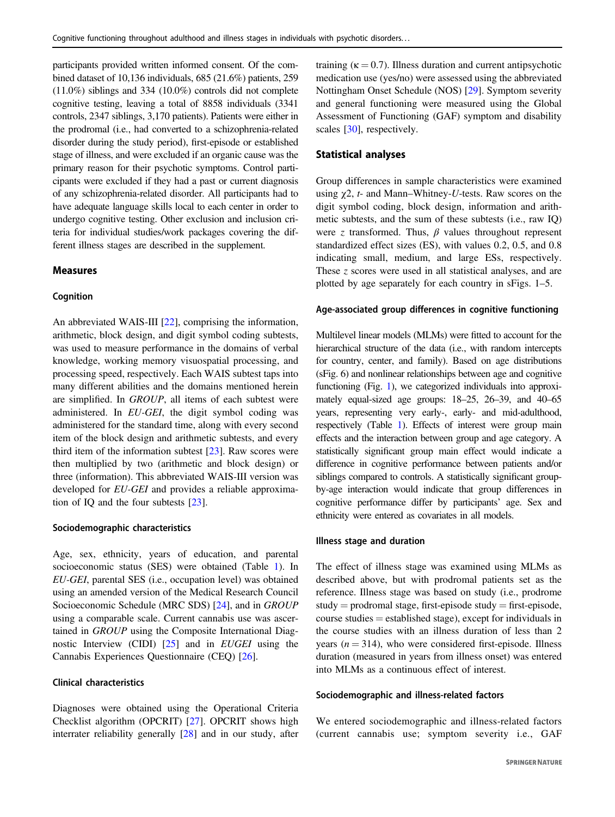participants provided written informed consent. Of the combined dataset of 10,136 individuals, 685 (21.6%) patients, 259 (11.0%) siblings and 334 (10.0%) controls did not complete cognitive testing, leaving a total of 8858 individuals (3341 controls, 2347 siblings, 3,170 patients). Patients were either in the prodromal (i.e., had converted to a schizophrenia-related disorder during the study period), first-episode or established stage of illness, and were excluded if an organic cause was the primary reason for their psychotic symptoms. Control participants were excluded if they had a past or current diagnosis of any schizophrenia-related disorder. All participants had to have adequate language skills local to each center in order to undergo cognitive testing. Other exclusion and inclusion criteria for individual studies/work packages covering the different illness stages are described in the supplement.

## Measures

#### Cognition

An abbreviated WAIS-III [\[22](#page-11-0)], comprising the information, arithmetic, block design, and digit symbol coding subtests, was used to measure performance in the domains of verbal knowledge, working memory visuospatial processing, and processing speed, respectively. Each WAIS subtest taps into many different abilities and the domains mentioned herein are simplified. In GROUP, all items of each subtest were administered. In EU-GEI, the digit symbol coding was administered for the standard time, along with every second item of the block design and arithmetic subtests, and every third item of the information subtest [[23](#page-11-0)]. Raw scores were then multiplied by two (arithmetic and block design) or three (information). This abbreviated WAIS-III version was developed for EU-GEI and provides a reliable approximation of IQ and the four subtests [[23\]](#page-11-0).

#### Sociodemographic characteristics

Age, sex, ethnicity, years of education, and parental socioeconomic status (SES) were obtained (Table [1](#page-3-0)). In EU-GEI, parental SES (i.e., occupation level) was obtained using an amended version of the Medical Research Council Socioeconomic Schedule (MRC SDS) [\[24](#page-11-0)], and in GROUP using a comparable scale. Current cannabis use was ascertained in GROUP using the Composite International Diagnostic Interview (CIDI) [\[25](#page-11-0)] and in EUGEI using the Cannabis Experiences Questionnaire (CEQ) [\[26](#page-11-0)].

### Clinical characteristics

Diagnoses were obtained using the Operational Criteria Checklist algorithm (OPCRIT) [[27\]](#page-11-0). OPCRIT shows high interrater reliability generally [[28\]](#page-11-0) and in our study, after training ( $\kappa = 0.7$ ). Illness duration and current antipsychotic medication use (yes/no) were assessed using the abbreviated Nottingham Onset Schedule (NOS) [\[29](#page-11-0)]. Symptom severity and general functioning were measured using the Global Assessment of Functioning (GAF) symptom and disability scales [\[30](#page-11-0)], respectively.

#### Statistical analyses

Group differences in sample characteristics were examined using  $\gamma$ 2, *t*- and Mann–Whitney-*U*-tests. Raw scores on the digit symbol coding, block design, information and arithmetic subtests, and the sum of these subtests (i.e., raw IQ) were z transformed. Thus,  $\beta$  values throughout represent standardized effect sizes (ES), with values 0.2, 0.5, and 0.8 indicating small, medium, and large ESs, respectively. These z scores were used in all statistical analyses, and are plotted by age separately for each country in sFigs. 1–5.

#### Age-associated group differences in cognitive functioning

Multilevel linear models (MLMs) were fitted to account for the hierarchical structure of the data (i.e., with random intercepts for country, center, and family). Based on age distributions (sFig. 6) and nonlinear relationships between age and cognitive functioning (Fig. [1](#page-4-0)), we categorized individuals into approximately equal-sized age groups: 18–25, 26–39, and 40–65 years, representing very early-, early- and mid-adulthood, respectively (Table [1\)](#page-3-0). Effects of interest were group main effects and the interaction between group and age category. A statistically significant group main effect would indicate a difference in cognitive performance between patients and/or siblings compared to controls. A statistically significant groupby-age interaction would indicate that group differences in cognitive performance differ by participants' age. Sex and ethnicity were entered as covariates in all models.

#### Illness stage and duration

The effect of illness stage was examined using MLMs as described above, but with prodromal patients set as the reference. Illness stage was based on study (i.e., prodrome  $study = productional stage, first-episode study = first-episode,$ course studies = established stage), except for individuals in the course studies with an illness duration of less than 2 years ( $n = 314$ ), who were considered first-episode. Illness duration (measured in years from illness onset) was entered into MLMs as a continuous effect of interest.

### Sociodemographic and illness-related factors

We entered sociodemographic and illness-related factors (current cannabis use; symptom severity i.e., GAF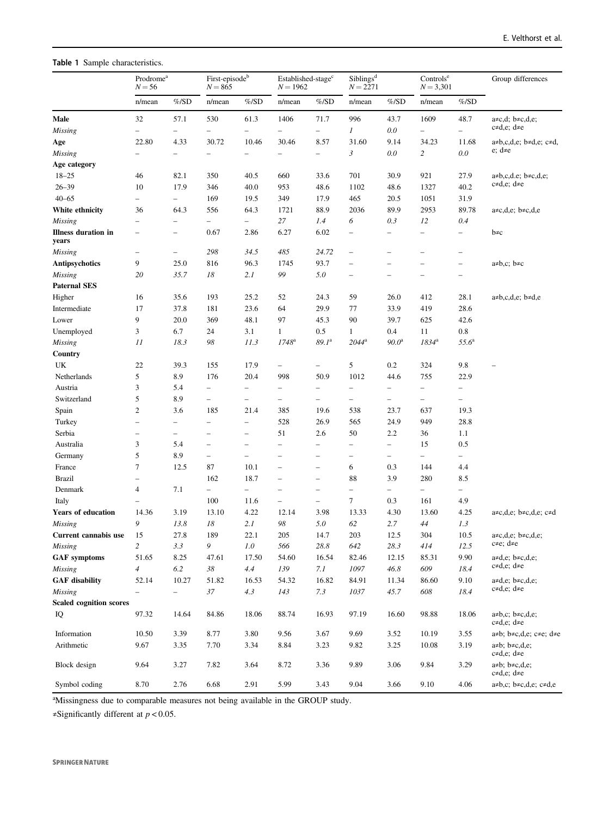<span id="page-3-0"></span>Table 1 Sample characteristics.

|                                     | $\mathop{\mathrm{Prodrome}}\nolimits^{\mathrm{a}}$<br>$N = 56$ |                          | First-episode <sup>b</sup><br>$N = 865$ |                          | Established-stage <sup>c</sup><br>$N = 1962$ |                          | Sibling <sup>d</sup><br>$N = 2271$ |                          | Controls <sup>e</sup><br>$N = 3,301$ |                          | Group differences                                                |
|-------------------------------------|----------------------------------------------------------------|--------------------------|-----------------------------------------|--------------------------|----------------------------------------------|--------------------------|------------------------------------|--------------------------|--------------------------------------|--------------------------|------------------------------------------------------------------|
|                                     | n/mean                                                         | $\%$ /SD                 | n/mean                                  | %/SD                     | n/mean                                       | $%$ /SD                  | n/mean                             | $%$ /SD                  | n/mean                               | $%$ /SD                  |                                                                  |
| Male                                | 32                                                             | 57.1                     | 530                                     | 61.3                     | 1406                                         | 71.7                     | 996                                | 43.7                     | 1609                                 | 48.7                     | $a \neq c,d; b \neq c,d,e;$                                      |
| Missing                             |                                                                |                          | $\qquad \qquad -$                       |                          | $\overline{\phantom{0}}$                     | ÷                        | 1                                  | $0.0\,$                  |                                      |                          | $c \neq d, e$ ; d $\neq e$                                       |
| Age                                 | 22.80                                                          | 4.33                     | 30.72                                   | 10.46                    | 30.46                                        | 8.57                     | 31.60                              | 9.14                     | 34.23                                | 11.68                    | $a \neq b, c, d, e$ ; $b \neq d, e$ ; $c \neq d$ ,               |
| <b>Missing</b>                      |                                                                | $\overline{\phantom{0}}$ | $\overline{\phantom{0}}$                |                          |                                              | $\equiv$                 | 3                                  | 0.0                      | 2                                    | 0.0                      | e; d≠e                                                           |
| Age category                        |                                                                |                          |                                         |                          |                                              |                          |                                    |                          |                                      |                          |                                                                  |
| $18 - 25$                           | 46                                                             | 82.1                     | 350                                     | 40.5                     | 660                                          | 33.6                     | 701                                | 30.9                     | 921                                  | 27.9                     | $a \neq b, c, d.e; b \neq c, d, e;$                              |
| $26 - 39$                           | 10                                                             | 17.9                     | 346                                     | 40.0                     | 953                                          | 48.6                     | 1102                               | 48.6                     | 1327                                 | 40.2                     | $c \neq d, e$ ; d $\neq e$                                       |
| $40 - 65$                           | -                                                              | $\frac{1}{2}$            | 169                                     | 19.5                     | 349                                          | 17.9                     | 465                                | 20.5                     | 1051                                 | 31.9                     |                                                                  |
| White ethnicity                     | 36                                                             | 64.3                     | 556                                     | 64.3                     | 1721                                         | 88.9                     | 2036                               | 89.9                     | 2953                                 | 89.78                    | $a \neq c,d,e$ ; $b \neq c,d,e$                                  |
| <b>Missing</b>                      |                                                                | $\overline{\phantom{0}}$ | $\overline{\phantom{0}}$                | -                        | 27                                           | 1.4                      | 6                                  | 0.3                      | 12                                   | 0.4                      |                                                                  |
| <b>Illness duration in</b><br>years | $\overline{\phantom{0}}$                                       | $\qquad \qquad -$        | 0.67                                    | 2.86                     | 6.27                                         | 6.02                     | $\qquad \qquad$                    | -                        | $\overline{\phantom{0}}$             | $\overline{\phantom{0}}$ | b≠c                                                              |
| <b>Missing</b>                      | $\overline{\phantom{0}}$                                       | $\overline{\phantom{0}}$ | 298                                     | 34.5                     | 485                                          | 24.72                    | $\overline{\phantom{0}}$           | -                        |                                      | $\overline{\phantom{m}}$ |                                                                  |
| Antipsychotics                      | 9                                                              | 25.0                     | 816                                     | 96.3                     | 1745                                         | 93.7                     | $\equiv$                           | $\overline{\phantom{0}}$ |                                      | $\equiv$                 | $a \neq b, c$ ; $b \neq c$                                       |
| <b>Missing</b>                      | 20                                                             | 35.7                     | 18                                      | 2.1                      | 99                                           | 5.0                      | $\overline{\phantom{0}}$           | $\overline{\phantom{0}}$ | $\overline{\phantom{0}}$             | $\qquad \qquad -$        |                                                                  |
| <b>Paternal SES</b>                 |                                                                |                          |                                         |                          |                                              |                          |                                    |                          |                                      |                          |                                                                  |
| Higher                              | 16                                                             | 35.6                     | 193                                     | 25.2                     | 52                                           | 24.3                     | 59                                 | 26.0                     | 412                                  | 28.1                     | $a \neq b, c, d, e$ ; $b \neq d, e$                              |
| Intermediate                        | 17                                                             | 37.8                     | 181                                     | 23.6                     | 64                                           | 29.9                     | 77                                 | 33.9                     | 419                                  | 28.6                     |                                                                  |
| Lower                               | 9                                                              | 20.0                     | 369                                     | 48.1                     | 97                                           | 45.3                     | 90                                 | 39.7                     | 625                                  | 42.6                     |                                                                  |
| Unemployed                          | 3                                                              | 6.7                      | 24                                      | 3.1                      | $\mathbf{1}$                                 | 0.5                      | $\mathbf{1}$                       | 0.4                      | 11                                   | 0.8                      |                                                                  |
| <b>Missing</b>                      | 11                                                             | 18.3                     | 98                                      | 11.3                     | $1748^{\rm a}$                               | $89.1^a$                 | $2044^{\rm a}$                     | $90.0^{\rm a}$           | $1834^{\rm a}$                       | $55.6^{\circ}$           |                                                                  |
| Country                             |                                                                |                          |                                         |                          |                                              |                          |                                    |                          |                                      |                          |                                                                  |
| UK                                  | 22                                                             | 39.3                     | 155                                     | 17.9                     | -                                            | $\qquad \qquad -$        | 5                                  | $0.2\,$                  | 324                                  | 9.8                      |                                                                  |
| Netherlands                         | 5                                                              | 8.9                      | 176                                     | 20.4                     | 998                                          | 50.9                     | 1012                               | 44.6                     | 755                                  | 22.9                     |                                                                  |
| Austria                             | 3                                                              | 5.4                      | $\frac{1}{2}$                           | —                        | $\overline{\phantom{0}}$                     | -                        | $\overline{\phantom{0}}$           | -                        | $\qquad \qquad -$                    | $\overline{\phantom{0}}$ |                                                                  |
| Switzerland                         | 5                                                              | 8.9                      | $\overline{\phantom{0}}$                | —                        | $\overline{\phantom{0}}$                     | -                        | -                                  | -                        | $\overline{\phantom{a}}$             |                          |                                                                  |
| Spain                               | $\sqrt{2}$                                                     | 3.6                      | 185                                     | 21.4                     | 385                                          | 19.6                     | 538                                | 23.7                     | 637                                  | 19.3                     |                                                                  |
| Turkey                              |                                                                | -                        | $\overline{\phantom{0}}$                | $\overline{\phantom{0}}$ | 528                                          | 26.9                     | 565                                | 24.9                     | 949                                  | 28.8                     |                                                                  |
| Serbia                              | $\overline{a}$                                                 | $\overline{\phantom{0}}$ | $\overline{\phantom{0}}$                | $\overline{\phantom{0}}$ | 51                                           | 2.6                      | 50                                 | 2.2                      | 36                                   | 1.1                      |                                                                  |
| Australia                           | 3                                                              | 5.4                      | $\overline{\phantom{0}}$                | -                        | $\overline{\phantom{0}}$                     | $\equiv$                 | $\overline{\phantom{0}}$           | $\equiv$                 | 15                                   | 0.5                      |                                                                  |
| Germany                             | 5                                                              | 8.9                      | $\qquad \qquad -$                       | -                        | $\equiv$                                     | $\overline{a}$           | $\qquad \qquad -$                  | -                        | $\overline{\phantom{0}}$             | $\overline{\phantom{0}}$ |                                                                  |
| France                              | $\tau$                                                         | 12.5                     | 87                                      | 10.1                     |                                              | -                        | 6                                  | 0.3                      | 144                                  | 4.4                      |                                                                  |
| <b>Brazil</b>                       |                                                                |                          | 162                                     | 18.7                     |                                              | $\overline{\phantom{0}}$ | 88                                 | 3.9                      | 280                                  | 8.5                      |                                                                  |
| Denmark                             | 4                                                              | 7.1                      | $\equiv$                                | $\overline{\phantom{0}}$ | $\overline{\phantom{0}}$                     | $\overline{\phantom{m}}$ | $\overline{\phantom{a}}$           | $\equiv$                 | $\overline{\phantom{a}}$             | $\qquad \qquad =$        |                                                                  |
| Italy                               |                                                                |                          | 100                                     | 11.6                     | $\overline{\phantom{0}}$                     | $\equiv$                 | $\tau$                             | 0.3                      | 161                                  | 4.9                      |                                                                  |
| <b>Years of education</b>           | 14.36                                                          | 3.19                     | 13.10                                   | 4.22                     | 12.14                                        | 3.98                     | 13.33                              | 4.30                     | 13.60                                | 4.25                     | $a \neq c, d, e$ ; $b \neq c, d, e$ ; $c \neq d$                 |
| <b>Missing</b>                      | 9                                                              | 13.8                     | 18                                      | 2.1                      | 98                                           | 5.0                      | 62                                 | 2.7                      | 44                                   | 1.3                      |                                                                  |
| Current cannabis use                | 15                                                             | 27.8                     | 189                                     | 22.1                     | 205                                          | 14.7                     | 203                                | 12.5                     | 304                                  | $10.5\,$                 | a≠c,d,e; b≠c,d,e;<br>$c \neq e$ ; d $\neq e$                     |
| <b>Missing</b>                      | $\overline{c}$                                                 | 3.3                      | 9                                       | 1.0                      | 566                                          | 28.8                     | 642                                | 28.3                     | 414                                  | 12.5                     |                                                                  |
| <b>GAF</b> symptoms                 | 51.65                                                          | 8.25                     | 47.61                                   | 17.50                    | 54.60                                        | 16.54                    | 82.46                              | 12.15                    | 85.31                                | 9.90                     | $a \neq d, e$ ; $b \neq c, d, e$ ;<br>$c \neq d, e$ ; d $\neq e$ |
| Missing                             | $\overline{4}$                                                 | 6.2                      | 38                                      | 4.4                      | 139                                          | 7.1                      | 1097                               | 46.8                     | 609                                  | 18.4                     |                                                                  |
| <b>GAF</b> disability               | 52.14                                                          | 10.27                    | 51.82                                   | 16.53                    | 54.32                                        | 16.82                    | 84.91                              | 11.34                    | 86.60                                | 9.10                     | $a \neq d.e$ ; $b \neq c,d,e$ ;<br>$c \neq d, e$ ; d $\neq e$    |
| <b>Missing</b>                      |                                                                | $\equiv$                 | 37                                      | 4.3                      | 143                                          | 7.3                      | 1037                               | 45.7                     | 608                                  | 18.4                     |                                                                  |
| <b>Scaled cognition scores</b>      |                                                                |                          |                                         |                          |                                              |                          |                                    |                          |                                      |                          |                                                                  |
| IQ                                  | 97.32                                                          | 14.64                    | 84.86                                   | 18.06                    | 88.74                                        | 16.93                    | 97.19                              | 16.60                    | 98.88                                | 18.06                    | $a \neq b, c$ ; $b \neq c, d, e$ ;<br>$c \neq d, e$ ; d $\neq e$ |
| Information                         | 10.50                                                          | 3.39                     | 8.77                                    | 3.80                     | 9.56                                         | 3.67                     | 9.69                               | 3.52                     | 10.19                                | 3.55                     | $a \neq b$ ; $b \neq c, d, e$ ; $c \neq e$ ; $d \neq e$          |
| Arithmetic                          | 9.67                                                           | 3.35                     | 7.70                                    | 3.34                     | 8.84                                         | 3.23                     | 9.82                               | 3.25                     | 10.08                                | 3.19                     | $a \neq b$ ; $b \neq c, d, e$ ;<br>$c \neq d, e$ ; d $\neq e$    |
| Block design                        | 9.64                                                           | 3.27                     | 7.82                                    | 3.64                     | 8.72                                         | 3.36                     | 9.89                               | 3.06                     | 9.84                                 | 3.29                     | $a \neq b$ ; $b \neq c, d, e$ ;<br>$c \neq d, e$ ; d $\neq e$    |
| Symbol coding                       | 8.70                                                           | 2.76                     | 6.68                                    | 2.91                     | 5.99                                         | 3.43                     | 9.04                               | 3.66                     | 9.10                                 | 4.06                     | $a \neq b, c$ ; $b \neq c, d, e$ ; $c \neq d, e$                 |

<sup>a</sup>Missingness due to comparable measures not being available in the GROUP study.

≠Significantly different at p < 0.05.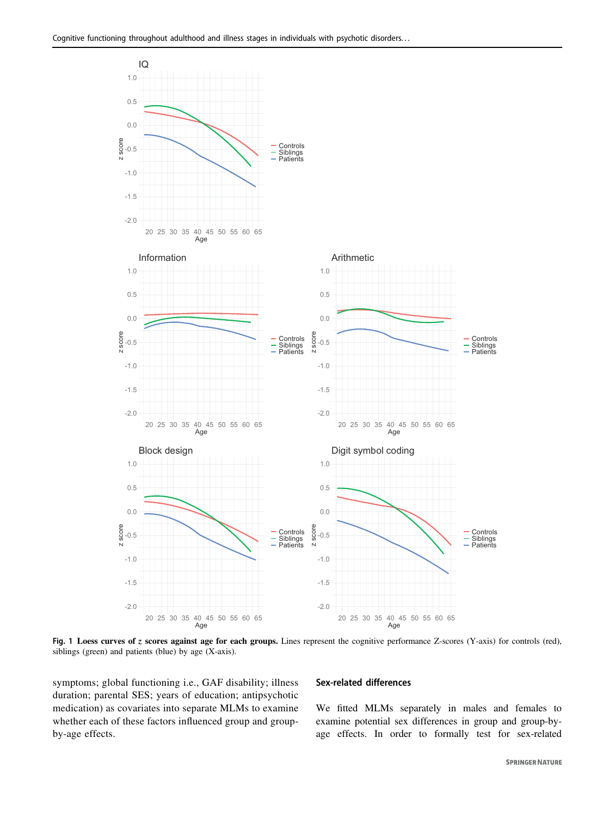<span id="page-4-0"></span>

Fig. 1 Loess curves of z scores against age for each groups. Lines represent the cognitive performance Z-scores (Y-axis) for controls (red), siblings (green) and patients (blue) by age (X-axis).

symptoms; global functioning i.e., GAF disability; illness duration; parental SES; years of education; antipsychotic medication) as covariates into separate MLMs to examine whether each of these factors influenced group and groupby-age effects.

#### Sex-related differences

We fitted MLMs separately in males and females to examine potential sex differences in group and group-byage effects. In order to formally test for sex-related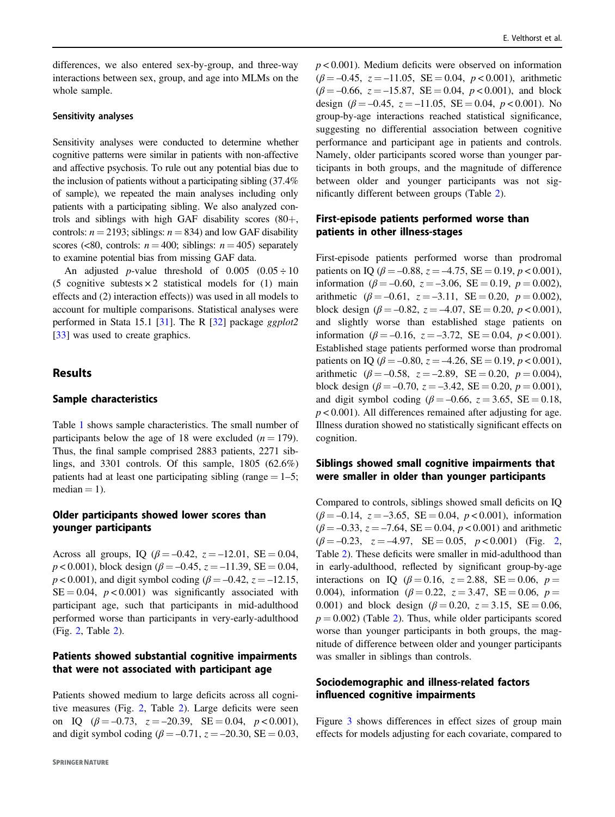differences, we also entered sex-by-group, and three-way interactions between sex, group, and age into MLMs on the whole sample.

## Sensitivity analyses

Sensitivity analyses were conducted to determine whether cognitive patterns were similar in patients with non-affective and affective psychosis. To rule out any potential bias due to the inclusion of patients without a participating sibling (37.4% of sample), we repeated the main analyses including only patients with a participating sibling. We also analyzed controls and siblings with high GAF disability scores (80+, controls:  $n = 2193$ ; siblings:  $n = 834$ ) and low GAF disability scores (<80, controls:  $n = 400$ ; siblings:  $n = 405$ ) separately to examine potential bias from missing GAF data.

An adjusted *p*-value threshold of  $0.005 (0.05 \div 10)$ (5 cognitive subtests  $\times$  2 statistical models for (1) main effects and (2) interaction effects)) was used in all models to account for multiple comparisons. Statistical analyses were performed in Stata 15.1 [\[31](#page-11-0)]. The R [[32](#page-11-0)] package ggplot2 [\[33](#page-11-0)] was used to create graphics.

# Results

# Sample characteristics

Table [1](#page-3-0) shows sample characteristics. The small number of participants below the age of 18 were excluded  $(n = 179)$ . Thus, the final sample comprised 2883 patients, 2271 siblings, and 3301 controls. Of this sample, 1805 (62.6%) patients had at least one participating sibling (range  $= 1-5$ ;  $median = 1$ ).

# Older participants showed lower scores than younger participants

Across all groups, IQ ( $\beta = -0.42$ ,  $z = -12.01$ , SE = 0.04,  $p < 0.001$ ), block design ( $\beta = -0.45$ ,  $z = -11.39$ , SE = 0.04,  $p < 0.001$ ), and digit symbol coding ( $\beta = -0.42$ ,  $z = -12.15$ ,  $SE = 0.04$ ,  $p < 0.001$ ) was significantly associated with participant age, such that participants in mid-adulthood performed worse than participants in very-early-adulthood (Fig. [2](#page-6-0), Table [2\)](#page-7-0).

# Patients showed substantial cognitive impairments that were not associated with participant age

Patients showed medium to large deficits across all cognitive measures (Fig. [2](#page-6-0), Table [2\)](#page-7-0). Large deficits were seen on IQ  $(\beta = -0.73, z = -20.39, SE = 0.04, p < 0.001)$ , and digit symbol coding ( $\beta = -0.71$ ,  $z = -20.30$ , SE = 0.03,  $p < 0.001$ ). Medium deficits were observed on information  $(\beta = -0.45, z = -11.05, SE = 0.04, p < 0.001)$ , arithmetic  $(\beta = -0.66, z = -15.87, SE = 0.04, p < 0.001)$ , and block design  $(\beta = -0.45, z = -11.05, SE = 0.04, p < 0.001)$ . No group-by-age interactions reached statistical significance, suggesting no differential association between cognitive performance and participant age in patients and controls. Namely, older participants scored worse than younger participants in both groups, and the magnitude of difference between older and younger participants was not significantly different between groups (Table [2\)](#page-7-0).

# First-episode patients performed worse than patients in other illness-stages

First-episode patients performed worse than prodromal patients on IQ ( $\beta = -0.88$ ,  $z = -4.75$ , SE = 0.19,  $p < 0.001$ ), information ( $\beta = -0.60$ ,  $z = -3.06$ ,  $SE = 0.19$ ,  $p = 0.002$ ), arithmetic ( $\beta = -0.61$ ,  $z = -3.11$ ,  $SE = 0.20$ ,  $p = 0.002$ ), block design ( $\beta = -0.82$ ,  $z = -4.07$ , SE = 0.20,  $p < 0.001$ ), and slightly worse than established stage patients on information ( $\beta = -0.16$ ,  $z = -3.72$ ,  $SE = 0.04$ ,  $p < 0.001$ ). Established stage patients performed worse than prodromal patients on IQ ( $\beta = -0.80$ ,  $z = -4.26$ , SE = 0.19,  $p < 0.001$ ), arithmetic ( $\beta = -0.58$ ,  $z = -2.89$ ,  $SE = 0.20$ ,  $p = 0.004$ ), block design ( $\beta = -0.70$ ,  $z = -3.42$ ,  $SE = 0.20$ ,  $p = 0.001$ ), and digit symbol coding ( $\beta = -0.66$ ,  $z = 3.65$ ,  $SE = 0.18$ ,  $p < 0.001$ ). All differences remained after adjusting for age. Illness duration showed no statistically significant effects on cognition.

# Siblings showed small cognitive impairments that were smaller in older than younger participants

Compared to controls, siblings showed small deficits on IQ  $(\beta = -0.14, z = -3.65, SE = 0.04, p < 0.001)$ , information  $(\beta = -0.33, z = -7.64, SE = 0.04, p < 0.001)$  and arithmetic  $(\beta = -0.23, z = -4.97, \text{ SE} = 0.05, p < 0.001)$  (Fig. [2,](#page-6-0) Table [2](#page-7-0)). These deficits were smaller in mid-adulthood than in early-adulthood, reflected by significant group-by-age interactions on IQ ( $\beta = 0.16$ ,  $z = 2.88$ , SE = 0.06,  $p =$ 0.004), information ( $\beta = 0.22$ ,  $z = 3.47$ , SE = 0.06,  $p =$ 0.001) and block design ( $\beta = 0.20$ ,  $z = 3.15$ , SE = 0.06,  $p = 0.002$ ) (Table [2\)](#page-7-0). Thus, while older participants scored worse than younger participants in both groups, the magnitude of difference between older and younger participants was smaller in siblings than controls.

# Sociodemographic and illness-related factors influenced cognitive impairments

Figure [3](#page-8-0) shows differences in effect sizes of group main effects for models adjusting for each covariate, compared to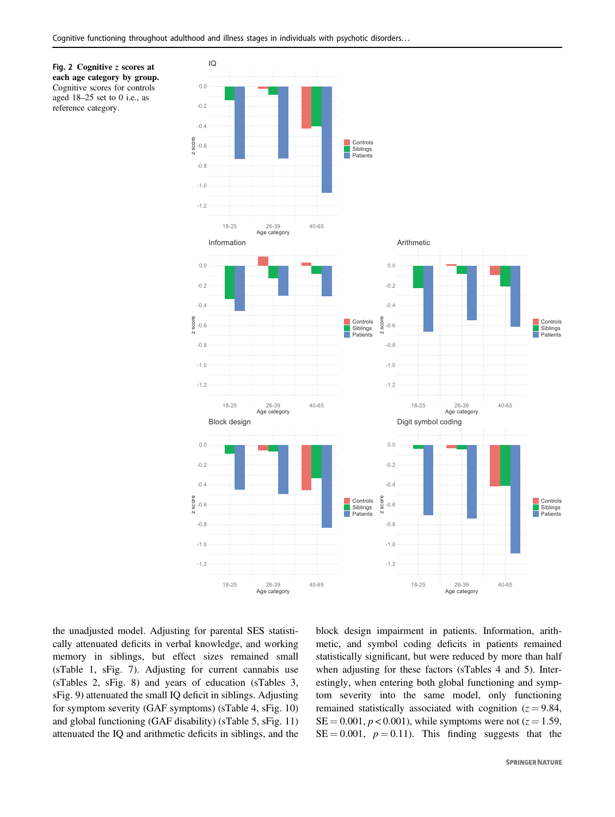<span id="page-6-0"></span>



the unadjusted model. Adjusting for parental SES statistically attenuated deficits in verbal knowledge, and working memory in siblings, but effect sizes remained small (sTable 1, sFig. 7). Adjusting for current cannabis use (sTables 2, sFig. 8) and years of education (sTables 3, sFig. 9) attenuated the small IQ deficit in siblings. Adjusting for symptom severity (GAF symptoms) (sTable 4, sFig. 10) and global functioning (GAF disability) (sTable 5, sFig. 11) attenuated the IQ and arithmetic deficits in siblings, and the block design impairment in patients. Information, arithmetic, and symbol coding deficits in patients remained statistically significant, but were reduced by more than half when adjusting for these factors (sTables 4 and 5). Interestingly, when entering both global functioning and symptom severity into the same model, only functioning remained statistically associated with cognition  $(z = 9.84, ...)$  $SE = 0.001, p < 0.001$ , while symptoms were not ( $z = 1.59$ ,  $SE = 0.001$ ,  $p = 0.11$ ). This finding suggests that the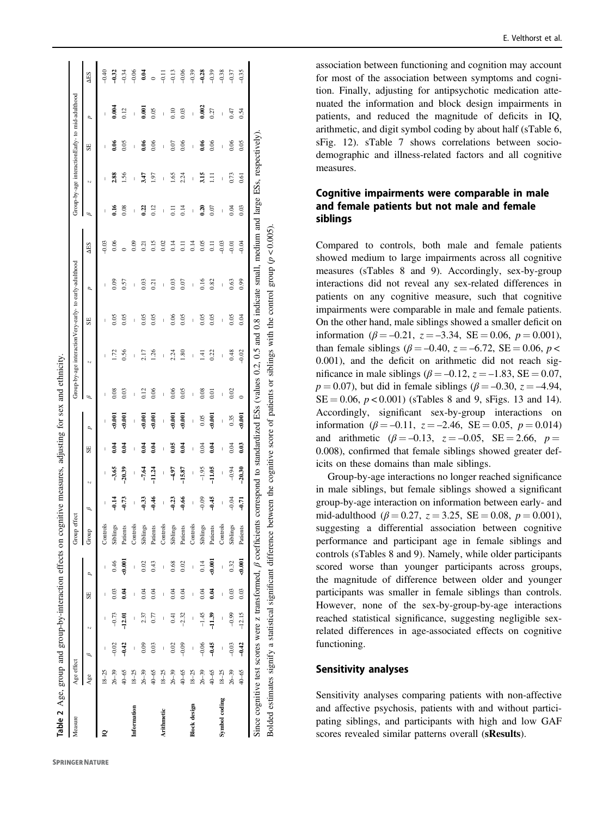<span id="page-7-0"></span>

| Table 2 Age, group and group-by-interaction effects on cognitive measures, adjusting for sex and ethnicity. |            |         |              |      |                  |              |                          |                |               |                  |                    |                                                                                                                  |                |                |                  |                          |                                                 |                |               |                        |
|-------------------------------------------------------------------------------------------------------------|------------|---------|--------------|------|------------------|--------------|--------------------------|----------------|---------------|------------------|--------------------|------------------------------------------------------------------------------------------------------------------|----------------|----------------|------------------|--------------------------|-------------------------------------------------|----------------|---------------|------------------------|
| Measure                                                                                                     | Age effect |         |              |      |                  | Group effect |                          |                |               |                  |                    | Group-by-age interactionVery-early- to early-adulthood                                                           |                |                |                  |                          | Group-by-age interactionEarly- to mid-adulthood |                |               |                        |
|                                                                                                             | Age        | B       | N            | SE   | ρ                | Group        | ρ                        | N              | SE            | p                | $\mathscr{D}$      | Ņ                                                                                                                | SE             | d              | <b>AES</b>       | $\overline{\mathscr{L}}$ | Ņ                                               | SE             | p             | $\Delta$ <sub>ES</sub> |
| ≌                                                                                                           | $18 - 25$  |         | I            |      | I                | Controls     | I                        | I              |               |                  |                    |                                                                                                                  | I              | I              | $-0.03$          | I                        | I                                               | I              | I             | $-0.40$                |
|                                                                                                             | $26 - 39$  | $-0.02$ |              | 0.03 | 0.46             | Siblings     | $\frac{14}{7}$           | $-3.65$        | 9.04          | $\frac{60}{3}$   | 0.08               | 172                                                                                                              | 0.05           | 0.09           | 0.06             | JE                       | 2.88                                            | $\frac{8}{2}$  | 0.004         | $-0.32$                |
|                                                                                                             | 40-65      | $-9.42$ | $-12.01$     | 9.04 | 5<br>1007        | Patients     | $-0.73$                  | $-20.39$       | $\tilde{e}$   | $\frac{6}{3}$    | 0.03               | 0.56                                                                                                             | 0.05           | 0.57           |                  | 0.08                     | 1.56                                            | 0.05           | 0.12          | $-0.34$                |
| Information                                                                                                 | $18 - 25$  |         | I            | I    | $\mathbf{I}$     | Controls     | $\overline{\phantom{a}}$ | $\overline{1}$ | $\mathbf{I}$  | $\mathbf{I}$     | $\overline{1}$     | $\mathbf{I}$                                                                                                     | $\overline{1}$ | $\overline{1}$ | 0.09             | $\overline{1}$           | $\overline{1}$                                  | $\overline{1}$ | $\mathbf{I}$  | $-0.06$                |
|                                                                                                             | $26 - 39$  | 0.09    | 2.37         | 0.04 | 0.02             | Siblings     | $-9.33$                  | $-7.64$        | $\frac{4}{3}$ | 56.00            | 0.12               | 2.17                                                                                                             | 0.05           | 0.03           | 0.21             | 0.22                     | 3.47                                            | 0.06           | $\bar{e}$     | 0.04                   |
|                                                                                                             | 40-65      | 0.03    | 0.77         | 0.04 | 0.43             | Patients     | $-9.46$                  | $-11.24$       | 0.04          | $-0.001$         | 0.06               | 1.26                                                                                                             | 0.05           | 0.21           | 0.15             | 0.12                     | 1.97                                            | 0.06           | 0.05          | $\circ$                |
| Arithmetic                                                                                                  | $18 - 25$  |         |              |      |                  | Controls     | l                        | I              | Ï             |                  | I                  | $\overline{1}$                                                                                                   | I              | I              | 0.02             | I                        | I                                               | I              | I             | $-0.11$                |
|                                                                                                             | $26 - 39$  | 0.02    | 0.41         | 0.04 | 0.68             | Siblings     | $-0.23$                  | -4.97          | 0.05          | $\frac{6000}{2}$ | 0.06               | 2.24                                                                                                             | 0.06           | 0.03           | 0.14             | $\overline{0}$ .         | 1.65                                            | 0.07           | $\frac{0}{2}$ | $-0.13$                |
|                                                                                                             | 40-65      | $-0.09$ | $-2.32$      | 0.04 | 0.02             | Patients     | $-0.66$                  | $-15.87$       | 0.04          |                  | 0.05               | $\frac{80}{2}$                                                                                                   | 0.05           | 0.07           | $\overline{0}$   | 0.14                     | 2.24                                            | 0.06           | 0.03          | $-0.06$                |
| Block design                                                                                                | $18 - 25$  |         | $\mathbf{I}$ | Ï    | I                | Controls     | $\mathbf{I}$             | I              | I             | $\mathbf{I}$     | $\mathbf{I}$       | I                                                                                                                | $\mathsf{I}$   | $\mathsf{I}$   | 0.14             | $\mathbf{I}$             | I                                               | $\mathsf{I}$   | Ï             | $-0.39$                |
|                                                                                                             | $26 - 39$  | $-0.06$ | $-1.45$      | 0.04 | 0.14             | Siblings     | $-0.09$                  | $-1.95$        | 0.04          | 0.05             | 0.08               | $\pm$                                                                                                            | 0.05           | 0.16           | 0.05             | $\frac{30}{20}$          | 3.15                                            | 606            | 0.002         | $-0.28$                |
|                                                                                                             | 40-65      | $-0.45$ | $-11.39$     | 0.04 | $-0.001$         | Patients     | $-0.45$                  | $-11.05$       | 0.04          | $-0.001$         | $\overline{0}$ .01 | 0.22                                                                                                             | 0.05           | 0.82           | $\overline{0}$ . | 0.07                     | Ξ                                               | 606            | 0.27          | $-0.39$                |
| Symbol coding                                                                                               | $18 - 25$  |         | I            |      | $\mathbf{I}$     | Controls     | I                        | $\mathbf{I}$   | Ï             | I                | $\overline{1}$     | I                                                                                                                | $\overline{1}$ |                | $-0.03$          | I                        | Ī                                               | I              | I             | $-0.38$                |
|                                                                                                             | $26 - 39$  | $-0.03$ | $-0.99$      | 0.03 | 0.32             | Siblings     | $-0.04$                  | $-0.94$        | 0.04          | 0.35             | 0.02               | 0.48                                                                                                             | 0.05           | 0.63           | $-0.01$          | 0.04                     | 0.73                                            | 0.06           | 0.47          | $-0.37$                |
|                                                                                                             | 40-65      | $-0.42$ | $-12.15$     | 0.03 | $\frac{1000}{2}$ | Patients     | امبر<br>1                | $-20.30$       | 0.03          | $\frac{6000}{2}$ | $\circ$            | $-0.02$                                                                                                          | 0.04           | 0.99           | $-0.04$          | 0.03                     | 0.61                                            | 0.05           | 0.54          | $-0.35$                |
| Since cognitive test scores were z transformed, $\beta$ coefficients                                        |            |         |              |      |                  |              |                          |                |               |                  |                    | correspond to standardized ESs (values $0.2$ , $0.5$ and 0.8 indicate small, medium and large ESs, respectively) |                |                |                  |                          |                                                 |                |               |                        |

Bolded estimates signify a statistical significant difference between the cognitive score of patients or siblings with the control group (p < 0.005).

Bolded estimates signify a statistical significant difference between the cognitive score of patients or siblings with the control group  $(p < 0.005)$ .

association between functioning and cognition may account for most of the association between symptoms and cognition. Finally, adjusting for antipsychotic medication attenuated the information and block design impairments in patients, and reduced the magnitude of de ficits in IQ, arithmetic, and digit symbol coding by about half (sTable 6, sFig. 12). sTable 7 shows correlations between sociodemographic and illness-related factors and all cognitive measures.

# Cognitive impairments were comparable in male and female patients but not male and female siblings

Compared to controls, both male and female patients showed medium to large impairments across all cognitive measures (sTables 8 and 9). Accordingly, sex-by-group interactions did not reveal any sex-related differences in patients on any cognitive measure, such that cognitive impairments were comparable in male and female patients. On the other hand, male siblings showed a smaller de ficit on information ( $\beta = -0.21$ ,  $z = -3.34$ , SE = 0.06,  $p = 0.001$ ), than female siblings ( $\beta = -0.40$ ,  $z = -6.72$ , SE = 0.06, p < 0.001), and the de ficit on arithmetic did not reach significance in male siblings ( $\beta = -0.12$ ,  $z = -1.83$ , SE = 0.07,  $p = 0.07$ ), but did in female siblings ( $\beta = -0.30$ ,  $z = -4.94$ ,  $SE = 0.06$ ,  $p < 0.001$ ) (sTables 8 and 9, sFigs. 13 and 14). Accordingly, signi ficant sex-by-group interactions on information ( $\beta = -0.11$ ,  $z = -2.46$ ,  $SE = 0.05$ ,  $p = 0.014$ ) and arithmetic  $(\beta = -0.13, z = -0.05, SE = 2.66, p = 1.5)$ 0.008), con firmed that female siblings showed greater deficits on these domains than male siblings.

Group-by-age interactions no longer reached signi ficance in male siblings, but female siblings showed a significant group-by-age interaction on information between early- and mid-adulthood ( $\beta = 0.27$ ,  $z = 3.25$ , SE = 0.08,  $p = 0.001$ ), suggesting a differential association between cognitive performance and participant age in female siblings and controls (sTables 8 and 9). Namely, while older participants scored worse than younger participants across groups, the magnitude of difference between older and younger participants was smaller in female siblings than controls. However, none of the sex-by-group-by-age interactions reached statistical signi ficance, suggesting negligible sexrelated differences in age-associated effects on cognitive functioning.

# Sensitivity analyses

Sensitivity analyses comparing patients with non-affective and affective psychosis, patients with and without participating siblings, and participants with high and low GAF scores revealed similar patterns overall (sResults).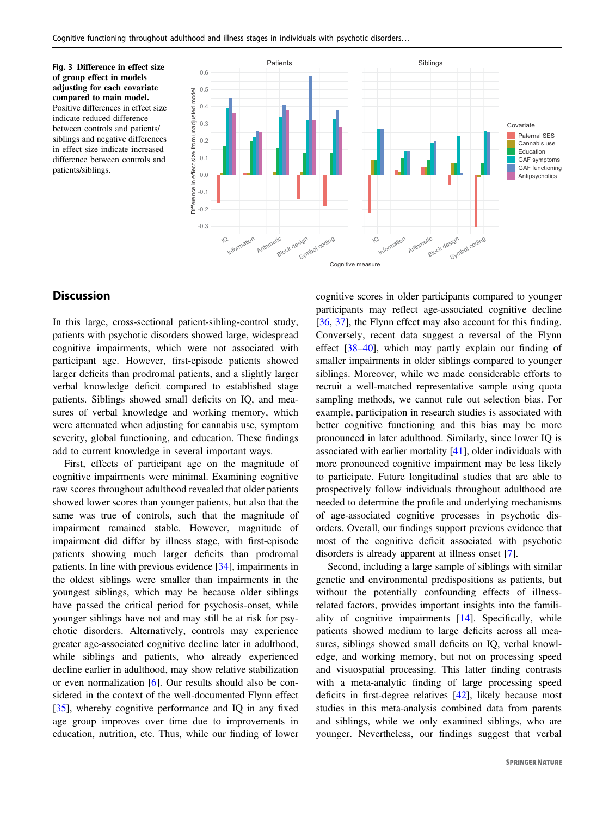<span id="page-8-0"></span>Fig. 3 Difference in effect size of group effect in models adjusting for each covariate compared to main model. Positive differences in effect size indicate reduced difference between controls and patients/ siblings and negative differences in effect size indicate increased difference between controls and patients/siblings.



# **Discussion**

In this large, cross-sectional patient-sibling-control study, patients with psychotic disorders showed large, widespread cognitive impairments, which were not associated with participant age. However, first-episode patients showed larger deficits than prodromal patients, and a slightly larger verbal knowledge deficit compared to established stage patients. Siblings showed small deficits on IQ, and measures of verbal knowledge and working memory, which were attenuated when adjusting for cannabis use, symptom severity, global functioning, and education. These findings add to current knowledge in several important ways.

First, effects of participant age on the magnitude of cognitive impairments were minimal. Examining cognitive raw scores throughout adulthood revealed that older patients showed lower scores than younger patients, but also that the same was true of controls, such that the magnitude of impairment remained stable. However, magnitude of impairment did differ by illness stage, with first-episode patients showing much larger deficits than prodromal patients. In line with previous evidence [[34\]](#page-11-0), impairments in the oldest siblings were smaller than impairments in the youngest siblings, which may be because older siblings have passed the critical period for psychosis-onset, while younger siblings have not and may still be at risk for psychotic disorders. Alternatively, controls may experience greater age-associated cognitive decline later in adulthood, while siblings and patients, who already experienced decline earlier in adulthood, may show relative stabilization or even normalization [[6\]](#page-10-0). Our results should also be considered in the context of the well-documented Flynn effect [\[35](#page-11-0)], whereby cognitive performance and IQ in any fixed age group improves over time due to improvements in education, nutrition, etc. Thus, while our finding of lower

cognitive scores in older participants compared to younger participants may reflect age-associated cognitive decline [\[36](#page-11-0), [37\]](#page-11-0), the Flynn effect may also account for this finding. Conversely, recent data suggest a reversal of the Flynn effect [\[38](#page-11-0)–[40](#page-11-0)], which may partly explain our finding of smaller impairments in older siblings compared to younger siblings. Moreover, while we made considerable efforts to recruit a well-matched representative sample using quota sampling methods, we cannot rule out selection bias. For example, participation in research studies is associated with better cognitive functioning and this bias may be more pronounced in later adulthood. Similarly, since lower IQ is associated with earlier mortality [[41\]](#page-11-0), older individuals with more pronounced cognitive impairment may be less likely to participate. Future longitudinal studies that are able to prospectively follow individuals throughout adulthood are needed to determine the profile and underlying mechanisms of age-associated cognitive processes in psychotic disorders. Overall, our findings support previous evidence that most of the cognitive deficit associated with psychotic disorders is already apparent at illness onset [\[7](#page-10-0)].

Second, including a large sample of siblings with similar genetic and environmental predispositions as patients, but without the potentially confounding effects of illnessrelated factors, provides important insights into the familiality of cognitive impairments [\[14](#page-11-0)]. Specifically, while patients showed medium to large deficits across all measures, siblings showed small deficits on IQ, verbal knowledge, and working memory, but not on processing speed and visuospatial processing. This latter finding contrasts with a meta-analytic finding of large processing speed deficits in first-degree relatives [[42\]](#page-11-0), likely because most studies in this meta-analysis combined data from parents and siblings, while we only examined siblings, who are younger. Nevertheless, our findings suggest that verbal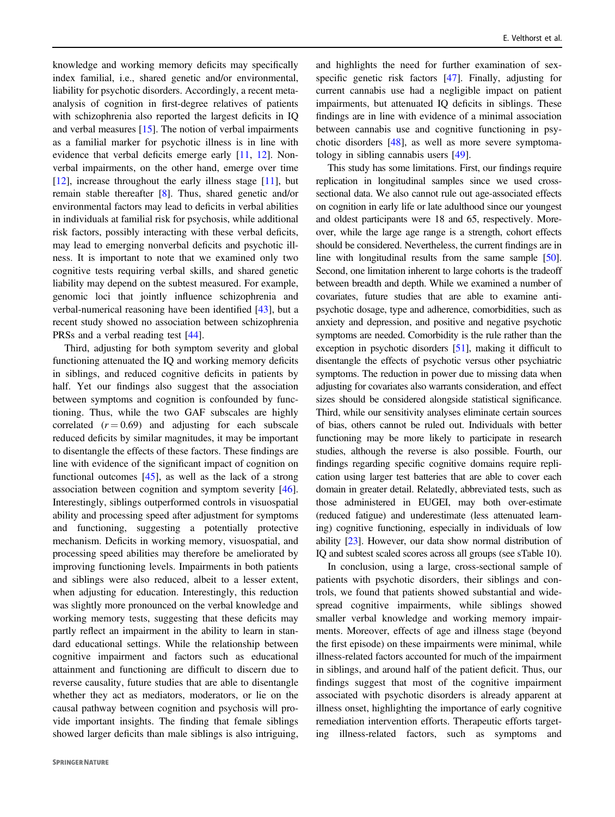knowledge and working memory deficits may specifically index familial, i.e., shared genetic and/or environmental, liability for psychotic disorders. Accordingly, a recent metaanalysis of cognition in first-degree relatives of patients with schizophrenia also reported the largest deficits in IQ and verbal measures [[15\]](#page-11-0). The notion of verbal impairments as a familial marker for psychotic illness is in line with evidence that verbal deficits emerge early [[11,](#page-11-0) [12\]](#page-11-0). Nonverbal impairments, on the other hand, emerge over time [\[12](#page-11-0)], increase throughout the early illness stage [\[11](#page-11-0)], but remain stable thereafter [[8\]](#page-10-0). Thus, shared genetic and/or environmental factors may lead to deficits in verbal abilities in individuals at familial risk for psychosis, while additional risk factors, possibly interacting with these verbal deficits, may lead to emerging nonverbal deficits and psychotic illness. It is important to note that we examined only two cognitive tests requiring verbal skills, and shared genetic liability may depend on the subtest measured. For example, genomic loci that jointly influence schizophrenia and verbal-numerical reasoning have been identified [\[43](#page-11-0)], but a recent study showed no association between schizophrenia PRSs and a verbal reading test [\[44](#page-11-0)].

Third, adjusting for both symptom severity and global functioning attenuated the IQ and working memory deficits in siblings, and reduced cognitive deficits in patients by half. Yet our findings also suggest that the association between symptoms and cognition is confounded by functioning. Thus, while the two GAF subscales are highly correlated  $(r = 0.69)$  and adjusting for each subscale reduced deficits by similar magnitudes, it may be important to disentangle the effects of these factors. These findings are line with evidence of the significant impact of cognition on functional outcomes  $[45]$  $[45]$ , as well as the lack of a strong association between cognition and symptom severity [\[46](#page-11-0)]. Interestingly, siblings outperformed controls in visuospatial ability and processing speed after adjustment for symptoms and functioning, suggesting a potentially protective mechanism. Deficits in working memory, visuospatial, and processing speed abilities may therefore be ameliorated by improving functioning levels. Impairments in both patients and siblings were also reduced, albeit to a lesser extent, when adjusting for education. Interestingly, this reduction was slightly more pronounced on the verbal knowledge and working memory tests, suggesting that these deficits may partly reflect an impairment in the ability to learn in standard educational settings. While the relationship between cognitive impairment and factors such as educational attainment and functioning are difficult to discern due to reverse causality, future studies that are able to disentangle whether they act as mediators, moderators, or lie on the causal pathway between cognition and psychosis will provide important insights. The finding that female siblings showed larger deficits than male siblings is also intriguing,

and highlights the need for further examination of sexspecific genetic risk factors [[47\]](#page-11-0). Finally, adjusting for current cannabis use had a negligible impact on patient impairments, but attenuated IQ deficits in siblings. These findings are in line with evidence of a minimal association between cannabis use and cognitive functioning in psychotic disorders [[48\]](#page-11-0), as well as more severe symptomatology in sibling cannabis users [[49\]](#page-12-0).

This study has some limitations. First, our findings require replication in longitudinal samples since we used crosssectional data. We also cannot rule out age-associated effects on cognition in early life or late adulthood since our youngest and oldest participants were 18 and 65, respectively. Moreover, while the large age range is a strength, cohort effects should be considered. Nevertheless, the current findings are in line with longitudinal results from the same sample [\[50\]](#page-12-0). Second, one limitation inherent to large cohorts is the tradeoff between breadth and depth. While we examined a number of covariates, future studies that are able to examine antipsychotic dosage, type and adherence, comorbidities, such as anxiety and depression, and positive and negative psychotic symptoms are needed. Comorbidity is the rule rather than the exception in psychotic disorders [\[51](#page-12-0)], making it difficult to disentangle the effects of psychotic versus other psychiatric symptoms. The reduction in power due to missing data when adjusting for covariates also warrants consideration, and effect sizes should be considered alongside statistical significance. Third, while our sensitivity analyses eliminate certain sources of bias, others cannot be ruled out. Individuals with better functioning may be more likely to participate in research studies, although the reverse is also possible. Fourth, our findings regarding specific cognitive domains require replication using larger test batteries that are able to cover each domain in greater detail. Relatedly, abbreviated tests, such as those administered in EUGEI, may both over-estimate (reduced fatigue) and underestimate (less attenuated learning) cognitive functioning, especially in individuals of low ability [\[23\]](#page-11-0). However, our data show normal distribution of IQ and subtest scaled scores across all groups (see sTable 10).

In conclusion, using a large, cross-sectional sample of patients with psychotic disorders, their siblings and controls, we found that patients showed substantial and widespread cognitive impairments, while siblings showed smaller verbal knowledge and working memory impairments. Moreover, effects of age and illness stage (beyond the first episode) on these impairments were minimal, while illness-related factors accounted for much of the impairment in siblings, and around half of the patient deficit. Thus, our findings suggest that most of the cognitive impairment associated with psychotic disorders is already apparent at illness onset, highlighting the importance of early cognitive remediation intervention efforts. Therapeutic efforts targeting illness-related factors, such as symptoms and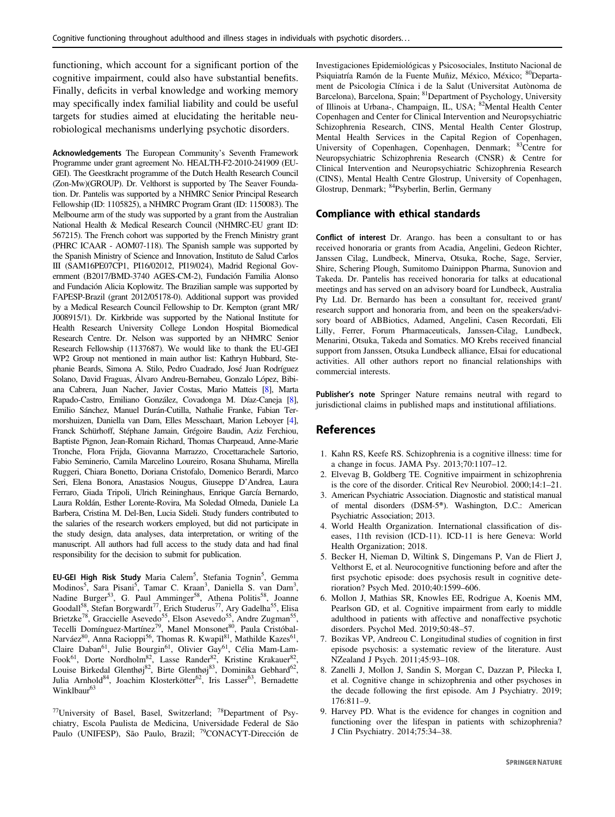<span id="page-10-0"></span>functioning, which account for a significant portion of the cognitive impairment, could also have substantial benefits. Finally, deficits in verbal knowledge and working memory may specifically index familial liability and could be useful targets for studies aimed at elucidating the heritable neurobiological mechanisms underlying psychotic disorders.

Acknowledgements The European Community's Seventh Framework Programme under grant agreement No. HEALTH-F2-2010-241909 (EU-GEI). The Geestkracht programme of the Dutch Health Research Council (Zon-Mw)(GROUP). Dr. Velthorst is supported by The Seaver Foundation. Dr. Pantelis was supported by a NHMRC Senior Principal Research Fellowship (ID: 1105825), a NHMRC Program Grant (ID: 1150083). The Melbourne arm of the study was supported by a grant from the Australian National Health & Medical Research Council (NHMRC-EU grant ID: 567215). The French cohort was supported by the French Ministry grant (PHRC ICAAR - AOM07-118). The Spanish sample was supported by the Spanish Ministry of Science and Innovation, Instituto de Salud Carlos III (SAM16PE07CP1, PI16/02012, PI19/024), Madrid Regional Government (B2017/BMD-3740 AGES-CM-2), Fundación Familia Alonso and Fundación Alicia Koplowitz. The Brazilian sample was supported by FAPESP-Brazil (grant 2012/05178-0). Additional support was provided by a Medical Research Council Fellowship to Dr. Kempton (grant MR/ J008915/1). Dr. Kirkbride was supported by the National Institute for Health Research University College London Hospital Biomedical Research Centre. Dr. Nelson was supported by an NHMRC Senior Research Fellowship (1137687). We would like to thank the EU-GEI WP2 Group not mentioned in main author list: Kathryn Hubbard, Stephanie Beards, Simona A. Stilo, Pedro Cuadrado, José Juan Rodríguez Solano, David Fraguas, Álvaro Andreu-Bernabeu, Gonzalo López, Bibiana Cabrera, Juan Nacher, Javier Costas, Mario Matteis [8], Marta Rapado-Castro, Emiliano González, Covadonga M. Díaz-Caneja [8], Emilio Sánchez, Manuel Durán-Cutilla, Nathalie Franke, Fabian Termorshuizen, Daniella van Dam, Elles Messchaart, Marion Leboyer [4], Franck Schurhoff, Stéphane Jamain, Grégoire Baudin, Aziz Ferchiou, ̈ Baptiste Pignon, Jean-Romain Richard, Thomas Charpeaud, Anne-Marie Tronche, Flora Frijda, Giovanna Marrazzo, Crocettarachele Sartorio, Fabio Seminerio, Camila Marcelino Loureiro, Rosana Shuhama, Mirella Ruggeri, Chiara Bonetto, Doriana Cristofalo, Domenico Berardi, Marco Seri, Elena Bonora, Anastasios Nougus, Giuseppe D'Andrea, Laura Ferraro, Giada Tripoli, Ulrich Reininghaus, Enrique García Bernardo, Laura Roldán, Esther Lorente-Rovira, Ma Soledad Olmeda, Daniele La Barbera, Cristina M. Del-Ben, Lucia Sideli. Study funders contributed to the salaries of the research workers employed, but did not participate in the study design, data analyses, data interpretation, or writing of the manuscript. All authors had full access to the study data and had final responsibility for the decision to submit for publication.

EU-GEI High Risk Study Maria Calem<sup>5</sup>, Stefania Tognin<sup>5</sup>, Gemma Modinos<sup>5</sup>, Sara Pisani<sup>5</sup>, Tamar C. Kraan<sup>3</sup>, Daniella S. van Dam<sup>3</sup>, Nadine Burger<sup>53</sup>, G. Paul Amminger<sup>58</sup>, Athena Politis<sup>58</sup>, Joanne Goodall<sup>58</sup>, Stefan Borgwardt<sup>77</sup>, Erich Studerus<sup>77</sup>, Ary Gadelha<sup>55</sup>, Elisa Brietzke<sup>78</sup>, Graccielle Asevedo<sup>55</sup>, Elson Asevedo<sup>55</sup>, Andre Zugman<sup>55</sup>, Tecelli Domínguez-Martínez<sup>79</sup>, Manel Monsonet<sup>80</sup>, Paula Cristóbal-Narváez<sup>80</sup>, Anna Racioppi<sup>56</sup>, Thomas R. Kwapil<sup>81</sup>, Mathilde Kazes<sup>61</sup>, Claire Daban<sup>61</sup>, Julie Bourgin<sup>61</sup>, Olivier Gay<sup>61</sup>, Célia Mam-Lam-Fook<sup>61</sup>, Dorte Nordholm<sup>82</sup>, Lasse Rander<sup>82</sup>, Kristine Krakauer<sup>82</sup>, Louise Birkedal Glenthøj<sup>82</sup>, Birte Glenthøj<sup>83</sup>, Dominika Gebhard<sup>62</sup>, Julia Arnhold<sup>84</sup>, Joachim Klosterkötter<sup>62</sup>, Iris Lasser<sup>63</sup>, Bernadette Winklbaur<sup>63</sup>

 $^{77}$ University of Basel, Basel, Switzerland;  $^{78}$ Department of Psychiatry, Escola Paulista de Medicina, Universidade Federal de São Paulo (UNIFESP), São Paulo, Brazil; <sup>79</sup>CONACYT-Dirección de Investigaciones Epidemiológicas y Psicosociales, Instituto Nacional de Psiquiatría Ramón de la Fuente Muñiz, México, México; <sup>80</sup>Departament de Psicologia Clínica i de la Salut (Universitat Autònoma de Barcelona), Barcelona, Spain; <sup>81</sup>Department of Psychology, University of Illinois at Urbana-, Champaign, IL, USA; <sup>82</sup>Mental Health Center Copenhagen and Center for Clinical Intervention and Neuropsychiatric Schizophrenia Research, CINS, Mental Health Center Glostrup, Mental Health Services in the Capital Region of Copenhagen, University of Copenhagen, Copenhagen, Denmark; <sup>83</sup>Centre for Neuropsychiatric Schizophrenia Research (CNSR) & Centre for Clinical Intervention and Neuropsychiatric Schizophrenia Research (CINS), Mental Health Centre Glostrup, University of Copenhagen, Glostrup, Denmark; <sup>84</sup>Psyberlin, Berlin, Germany

#### Compliance with ethical standards

Conflict of interest Dr. Arango. has been a consultant to or has received honoraria or grants from Acadia, Angelini, Gedeon Richter, Janssen Cilag, Lundbeck, Minerva, Otsuka, Roche, Sage, Servier, Shire, Schering Plough, Sumitomo Dainippon Pharma, Sunovion and Takeda. Dr. Pantelis has received honoraria for talks at educational meetings and has served on an advisory board for Lundbeck, Australia Pty Ltd. Dr. Bernardo has been a consultant for, received grant/ research support and honoraria from, and been on the speakers/advisory board of ABBiotics, Adamed, Angelini, Casen Recordati, Eli Lilly, Ferrer, Forum Pharmaceuticals, Janssen-Cilag, Lundbeck, Menarini, Otsuka, Takeda and Somatics. MO Krebs received financial support from Janssen, Otsuka Lundbeck alliance, EIsai for educational activities. All other authors report no financial relationships with commercial interests.

Publisher's note Springer Nature remains neutral with regard to jurisdictional claims in published maps and institutional affiliations.

## References

- 1. Kahn RS, Keefe RS. Schizophrenia is a cognitive illness: time for a change in focus. JAMA Psy. 2013;70:1107–12.
- 2. Elvevag B, Goldberg TE. Cognitive impairment in schizophrenia is the core of the disorder. Critical Rev Neurobiol. 2000;14:1–21.
- 3. American Psychiatric Association. Diagnostic and statistical manual of mental disorders (DSM-5®). Washington, D.C.: American Psychiatric Association; 2013.
- 4. World Health Organization. International classification of diseases, 11th revision (ICD-11). ICD-11 is here Geneva: World Health Organization; 2018.
- 5. Becker H, Nieman D, Wiltink S, Dingemans P, Van de Fliert J, Velthorst E, et al. Neurocognitive functioning before and after the first psychotic episode: does psychosis result in cognitive deterioration? Psych Med. 2010;40:1599–606.
- 6. Mollon J, Mathias SR, Knowles EE, Rodrigue A, Koenis MM, Pearlson GD, et al. Cognitive impairment from early to middle adulthood in patients with affective and nonaffective psychotic disorders. Psychol Med. 2019;50:48–57.
- 7. Bozikas VP, Andreou C. Longitudinal studies of cognition in first episode psychosis: a systematic review of the literature. Aust NZealand J Psych. 2011;45:93–108.
- 8. Zanelli J, Mollon J, Sandin S, Morgan C, Dazzan P, Pilecka I, et al. Cognitive change in schizophrenia and other psychoses in the decade following the first episode. Am J Psychiatry. 2019; 176:811–9.
- 9. Harvey PD. What is the evidence for changes in cognition and functioning over the lifespan in patients with schizophrenia? J Clin Psychiatry. 2014;75:34–38.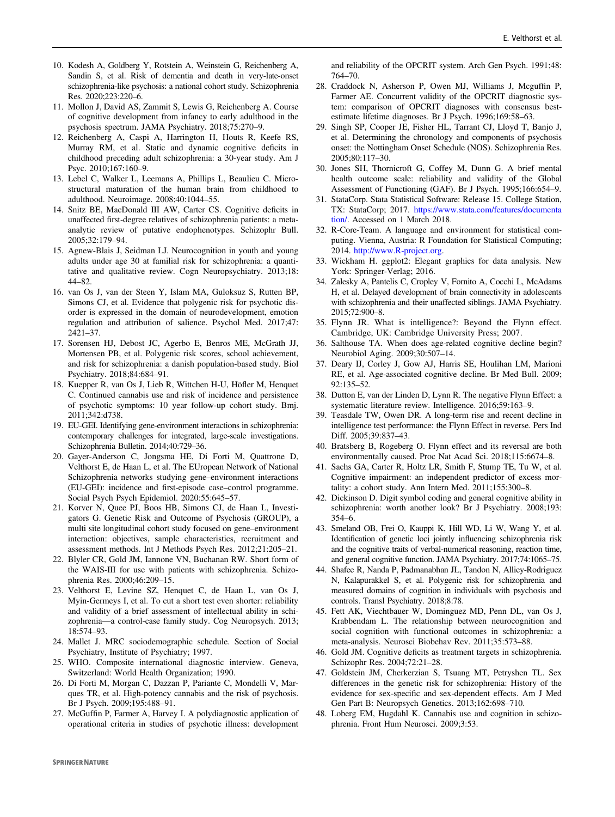- <span id="page-11-0"></span>10. Kodesh A, Goldberg Y, Rotstein A, Weinstein G, Reichenberg A, Sandin S, et al. Risk of dementia and death in very-late-onset schizophrenia-like psychosis: a national cohort study. Schizophrenia Res. 2020;223:220–6.
- 11. Mollon J, David AS, Zammit S, Lewis G, Reichenberg A. Course of cognitive development from infancy to early adulthood in the psychosis spectrum. JAMA Psychiatry. 2018;75:270–9.
- 12. Reichenberg A, Caspi A, Harrington H, Houts R, Keefe RS, Murray RM, et al. Static and dynamic cognitive deficits in childhood preceding adult schizophrenia: a 30-year study. Am J Psyc. 2010;167:160–9.
- 13. Lebel C, Walker L, Leemans A, Phillips L, Beaulieu C. Microstructural maturation of the human brain from childhood to adulthood. Neuroimage. 2008;40:1044–55.
- 14. Snitz BE, MacDonald III AW, Carter CS. Cognitive deficits in unaffected first-degree relatives of schizophrenia patients: a metaanalytic review of putative endophenotypes. Schizophr Bull. 2005;32:179–94.
- 15. Agnew-Blais J, Seidman LJ. Neurocognition in youth and young adults under age 30 at familial risk for schizophrenia: a quantitative and qualitative review. Cogn Neuropsychiatry. 2013;18: 44–82.
- 16. van Os J, van der Steen Y, Islam MA, Guloksuz S, Rutten BP, Simons CJ, et al. Evidence that polygenic risk for psychotic disorder is expressed in the domain of neurodevelopment, emotion regulation and attribution of salience. Psychol Med. 2017;47: 2421–37.
- 17. Sorensen HJ, Debost JC, Agerbo E, Benros ME, McGrath JJ, Mortensen PB, et al. Polygenic risk scores, school achievement, and risk for schizophrenia: a danish population-based study. Biol Psychiatry. 2018;84:684–91.
- 18. Kuepper R, van Os J, Lieb R, Wittchen H-U, Höfler M, Henquet C. Continued cannabis use and risk of incidence and persistence of psychotic symptoms: 10 year follow-up cohort study. Bmj. 2011;342:d738.
- 19. EU-GEI. Identifying gene-environment interactions in schizophrenia: contemporary challenges for integrated, large-scale investigations. Schizophrenia Bulletin. 2014;40:729–36.
- 20. Gayer-Anderson C, Jongsma HE, Di Forti M, Quattrone D, Velthorst E, de Haan L, et al. The EUropean Network of National Schizophrenia networks studying gene–environment interactions (EU-GEI): incidence and first-episode case–control programme. Social Psych Psych Epidemiol. 2020:55:645–57.
- 21. Korver N, Quee PJ, Boos HB, Simons CJ, de Haan L, Investigators G. Genetic Risk and Outcome of Psychosis (GROUP), a multi site longitudinal cohort study focused on gene–environment interaction: objectives, sample characteristics, recruitment and assessment methods. Int J Methods Psych Res. 2012;21:205–21.
- 22. Blyler CR, Gold JM, Iannone VN, Buchanan RW. Short form of the WAIS-III for use with patients with schizophrenia. Schizophrenia Res. 2000;46:209–15.
- 23. Velthorst E, Levine SZ, Henquet C, de Haan L, van Os J, Myin-Germeys I, et al. To cut a short test even shorter: reliability and validity of a brief assessment of intellectual ability in schizophrenia—a control-case family study. Cog Neuropsych. 2013; 18:574–93.
- 24. Mallet J. MRC sociodemographic schedule. Section of Social Psychiatry, Institute of Psychiatry; 1997.
- 25. WHO. Composite international diagnostic interview. Geneva, Switzerland: World Health Organization; 1990.
- 26. Di Forti M, Morgan C, Dazzan P, Pariante C, Mondelli V, Marques TR, et al. High-potency cannabis and the risk of psychosis. Br J Psych. 2009;195:488–91.
- 27. McGuffin P, Farmer A, Harvey I. A polydiagnostic application of operational criteria in studies of psychotic illness: development

and reliability of the OPCRIT system. Arch Gen Psych. 1991;48: 764–70.

- 28. Craddock N, Asherson P, Owen MJ, Williams J, Mcguffin P, Farmer AE. Concurrent validity of the OPCRIT diagnostic system: comparison of OPCRIT diagnoses with consensus bestestimate lifetime diagnoses. Br J Psych. 1996;169:58–63.
- 29. Singh SP, Cooper JE, Fisher HL, Tarrant CJ, Lloyd T, Banjo J, et al. Determining the chronology and components of psychosis onset: the Nottingham Onset Schedule (NOS). Schizophrenia Res. 2005;80:117–30.
- 30. Jones SH, Thornicroft G, Coffey M, Dunn G. A brief mental health outcome scale: reliability and validity of the Global Assessment of Functioning (GAF). Br J Psych. 1995;166:654–9.
- 31. StataCorp. Stata Statistical Software: Release 15. College Station, TX: StataCorp; 2017. [https://www.stata.com/features/documenta](https://www.stata.com/features/documentation/) [tion/](https://www.stata.com/features/documentation/). Accessed on 1 March 2018.
- 32. R-Core-Team. A language and environment for statistical computing. Vienna, Austria: R Foundation for Statistical Computing; 2014. <http://www.R-project.org>.
- 33. Wickham H. ggplot2: Elegant graphics for data analysis. New York: Springer-Verlag; 2016.
- 34. Zalesky A, Pantelis C, Cropley V, Fornito A, Cocchi L, McAdams H, et al. Delayed development of brain connectivity in adolescents with schizophrenia and their unaffected siblings. JAMA Psychiatry. 2015;72:900–8.
- 35. Flynn JR. What is intelligence?: Beyond the Flynn effect. Cambridge, UK: Cambridge University Press; 2007.
- 36. Salthouse TA. When does age-related cognitive decline begin? Neurobiol Aging. 2009;30:507–14.
- 37. Deary IJ, Corley J, Gow AJ, Harris SE, Houlihan LM, Marioni RE, et al. Age-associated cognitive decline. Br Med Bull. 2009; 92:135–52.
- 38. Dutton E, van der Linden D, Lynn R. The negative Flynn Effect: a systematic literature review. Intelligence. 2016;59:163–9.
- 39. Teasdale TW, Owen DR. A long-term rise and recent decline in intelligence test performance: the Flynn Effect in reverse. Pers Ind Diff. 2005;39:837–43.
- 40. Bratsberg B, Rogeberg O. Flynn effect and its reversal are both environmentally caused. Proc Nat Acad Sci. 2018;115:6674–8.
- 41. Sachs GA, Carter R, Holtz LR, Smith F, Stump TE, Tu W, et al. Cognitive impairment: an independent predictor of excess mortality: a cohort study. Ann Intern Med. 2011;155:300–8.
- 42. Dickinson D. Digit symbol coding and general cognitive ability in schizophrenia: worth another look? Br J Psychiatry. 2008;193: 354–6.
- 43. Smeland OB, Frei O, Kauppi K, Hill WD, Li W, Wang Y, et al. Identification of genetic loci jointly influencing schizophrenia risk and the cognitive traits of verbal-numerical reasoning, reaction time, and general cognitive function. JAMA Psychiatry. 2017;74:1065–75.
- 44. Shafee R, Nanda P, Padmanabhan JL, Tandon N, Alliey-Rodriguez N, Kalapurakkel S, et al. Polygenic risk for schizophrenia and measured domains of cognition in individuals with psychosis and controls. Transl Psychiatry. 2018;8:78.
- 45. Fett AK, Viechtbauer W, Dominguez MD, Penn DL, van Os J, Krabbendam L. The relationship between neurocognition and social cognition with functional outcomes in schizophrenia: a meta-analysis. Neurosci Biobehav Rev. 2011;35:573–88.
- 46. Gold JM. Cognitive deficits as treatment targets in schizophrenia. Schizophr Res. 2004;72:21–28.
- 47. Goldstein JM, Cherkerzian S, Tsuang MT, Petryshen TL. Sex differences in the genetic risk for schizophrenia: History of the evidence for sex‐specific and sex‐dependent effects. Am J Med Gen Part B: Neuropsych Genetics. 2013;162:698–710.
- 48. Loberg EM, Hugdahl K. Cannabis use and cognition in schizophrenia. Front Hum Neurosci. 2009;3:53.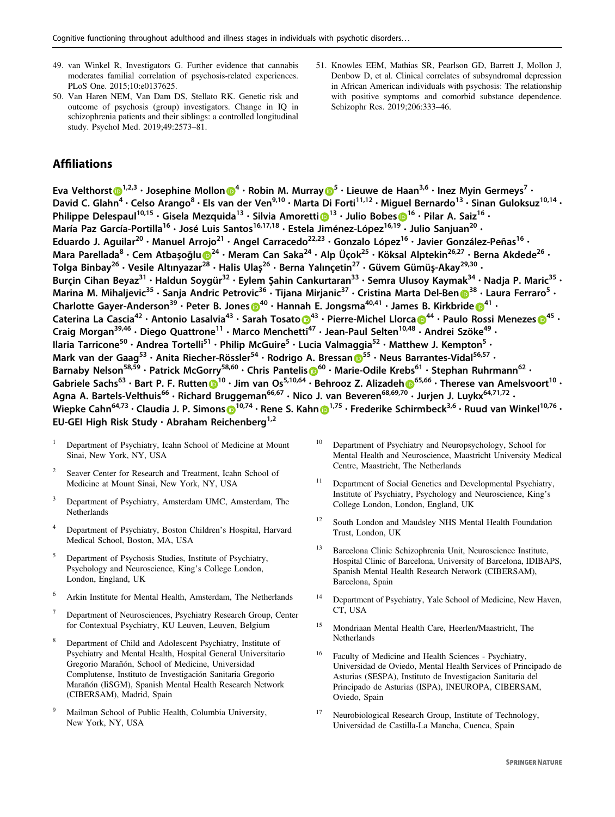- <span id="page-12-0"></span>49. van Winkel R, Investigators G. Further evidence that cannabis moderates familial correlation of psychosis-related experiences. PLoS One. 2015;10:e0137625.
- 50. Van Haren NEM, Van Dam DS, Stellato RK. Genetic risk and outcome of psychosis (group) investigators. Change in IQ in schizophrenia patients and their siblings: a controlled longitudinal study. Psychol Med. 2019;49:2573–81.
- 51. Knowles EEM, Mathias SR, Pearlson GD, Barrett J, Mollon J, Denbow D, et al. Clinical correlates of subsyndromal depression in African American individuals with psychosis: The relationship with positive symptoms and comorbid substance dependence. Schizophr Res. 2019;206:333–46.

# **Affiliations**

Eva Velthorst $\bigcirc^{1,2,3}$  $\bigcirc^{1,2,3}$  $\bigcirc^{1,2,3}$  • Josephi[n](http://orcid.org/0000-0003-4557-1838)e Mollon $\bigcirc^{4}$  $\bigcirc^{4}$  $\bigcirc^{4}$  • Robin M. Murray  $\bigcirc^{5}$  $\bigcirc^{5}$  $\bigcirc^{5}$  • Lieuwe de Haan<sup>3,6</sup> • Inez Myin Germeys<sup>7</sup> • David C. Glahn<sup>4</sup> · Celso Arango<sup>8</sup> · Els van der Ven<sup>9,10</sup> · Marta Di Forti<sup>11,12</sup> · Miguel Bernardo<sup>13</sup> · Sinan Guloksuz<sup>10,14</sup> · Philippe Delespaul<sup>[1](http://orcid.org/0000-0003-2187-4033)0,15</sup> · Gisela Mezquida<sup>13</sup> · Silvia Amoretti <sup>13</sup> · Julio Bobes 0<sup>16</sup> · Pilar A. Saiz<sup>16</sup> · María Paz García-Portilla<sup>16</sup> · José Luis Santos<sup>16,17,18</sup> · Estela Jiménez-López<sup>16,19</sup> · Julio Saniuan<sup>20</sup> · Eduardo J. Aguilar<sup>20</sup> · Manuel Arrojo<sup>21</sup> · Angel Carracedo<sup>22,23</sup> · Gonzalo López<sup>16</sup> · Javier González-Peñas<sup>16</sup> · Mara Parellada<s[u](http://orcid.org/0000-0002-8211-6095)p>8</sup> · Cem Atbasoğlu D<sup>[2](http://orcid.org/0000-0002-8211-6095)4</sup> · Meram Can Saka<sup>24</sup> · Alp Üçok<sup>25</sup> · Köksal Alptekin<sup>26,27</sup> · Berna Akdede<sup>26</sup> · Tolga Binbay $^{26}$  • Vesile Altınyazar $^{28}$  $^{28}$  $^{28}$  • Halis Ulaş $^{26}$  • Berna Yalınçetin $^{27}$  • Güvem Gümüş-Akay $^{29,30}$  • Burcin Cihan Beyaz<sup>31</sup> • Haldun Soygür<sup>32</sup> • Eylem Şahin Cankurtaran<sup>33</sup> • Semra Ulusoy Kaymak<sup>34</sup> • Nadja P. Maric<sup>35</sup> • Marina M. Mihaljevic<sup>[3](http://orcid.org/0000-0003-0145-9975)5</sup> · Sanja Andric Petrovic<sup>36</sup> · Tijana Mirjanic<sup>37</sup> · Cristina Marta Del-Ben <sup>38</sup> · Laura Ferraro<sup>5</sup> · Charlott[e](http://orcid.org/0000-0003-3401-0824) Gayer-Anderson<sup>39</sup> • Peter B. Jones  $\mathbb{D}^{40}$  $\mathbb{D}^{40}$  $\mathbb{D}^{40}$  • Hannah E. Jongsma<sup>40,41</sup> • James B. Kirkbride  $\mathbb{D}^{41}$  • Caterina La Cascia<sup>42</sup> • Ant[o](http://orcid.org/0000-0002-9665-7538)nio Lasalvia<sup>[4](http://orcid.org/0000-0001-6330-3314)3</sup> • S[a](http://orcid.org/0000-0001-7438-8990)rah Tosato  $\mathbb{D}^{43}$  • Pierre-Michel Llorca  $\mathbb{D}^{44}$  • Paulo Rossi Menezes  $\mathbb{D}^{45}$  • Craig Morgan<sup>39,46</sup> · Diego Quattrone<sup>11</sup> · Marco Menchetti<sup>47</sup> · Jean-Paul Selten<sup>10,48</sup> · Andrei Szöke<sup>49</sup> · Ilaria Tarricone<sup>50</sup> • Andrea Tortelli<sup>51</sup> • Philip McGuire<sup>5</sup> • Lucia Valmaggia<sup>52</sup> • Matthew J. Kempton<sup>5</sup> • Mark van der Gaag<sup>[5](http://orcid.org/0000-0002-0868-4449)3</sup> · Anita Riecher-Rössler<sup>54</sup> · Rodrigo A. Bressan 5<sup>55</sup> · Neus Barrantes-Vidal<sup>56,57</sup> · Barnaby Nel[s](http://orcid.org/0000-0002-9565-0238)on<sup>58,59</sup> · Patrick McGorry<sup>58,[6](http://orcid.org/0000-0002-9565-0238)0</sup> · Chris Pantelis <sup>60</sup> · Marie-Odile Krebs<sup>61</sup> · Stephan Ruhrmann<sup>62</sup> · Gabriele Sachs<sup>63</sup> • Bart P. F. Rutte[n](http://orcid.org/0000-0002-9834-6346)  $0^{10}$  $0^{10}$  $0^{10}$  • Jim van Os<sup>5,10,[6](http://orcid.org/0000-0002-1415-8007)4</sup> • Behrooz Z. Alizadeh  $0^{65,66}$  • Therese van Amelsvoort<sup>10</sup> • Agna A. Bartels-Velthuis<sup>66</sup> · Richard Bruggeman<sup>66,67</sup> · Nico J. van Beveren<sup>68,69,70</sup> · Jurjen J. Luykx<sup>64,71,72</sup> · Wiepke Cahn<[s](http://orcid.org/0000-0002-7637-3589)up>64,73</sup> • Claudia J. P. Simons  $\mathbf{D}^{10,74}$  $\mathbf{D}^{10,74}$  $\mathbf{D}^{10,74}$  • Rene S. Kahn  $\mathbf{D}^{1,75}$  • Frederike Schirmbeck<sup>3,6</sup> • Ruud van Winkel<sup>10,76</sup> • EU-GEI High Risk Study · Abraham Reichenberg<sup>1,2</sup>

- <sup>1</sup> Department of Psychiatry, Icahn School of Medicine at Mount Sinai, New York, NY, USA
- 2 Seaver Center for Research and Treatment, Icahn School of Medicine at Mount Sinai, New York, NY, USA
- <sup>3</sup> Department of Psychiatry, Amsterdam UMC, Amsterdam, The Netherlands
- <sup>4</sup> Department of Psychiatry, Boston Children's Hospital, Harvard Medical School, Boston, MA, USA
- <sup>5</sup> Department of Psychosis Studies, Institute of Psychiatry, Psychology and Neuroscience, King's College London, London, England, UK
- <sup>6</sup> Arkin Institute for Mental Health, Amsterdam, The Netherlands
- <sup>7</sup> Department of Neurosciences, Psychiatry Research Group, Center for Contextual Psychiatry, KU Leuven, Leuven, Belgium
- <sup>8</sup> Department of Child and Adolescent Psychiatry, Institute of Psychiatry and Mental Health, Hospital General Universitario Gregorio Marañón, School of Medicine, Universidad Complutense, Instituto de Investigación Sanitaria Gregorio Marañón (IiSGM), Spanish Mental Health Research Network (CIBERSAM), Madrid, Spain
- <sup>9</sup> Mailman School of Public Health, Columbia University, New York, NY, USA
- <sup>10</sup> Department of Psychiatry and Neuropsychology, School for Mental Health and Neuroscience, Maastricht University Medical Centre, Maastricht, The Netherlands
- Department of Social Genetics and Developmental Psychiatry, Institute of Psychiatry, Psychology and Neuroscience, King's College London, London, England, UK
- South London and Maudsley NHS Mental Health Foundation Trust, London, UK
- <sup>13</sup> Barcelona Clinic Schizophrenia Unit, Neuroscience Institute, Hospital Clinic of Barcelona, University of Barcelona, IDIBAPS, Spanish Mental Health Research Network (CIBERSAM), Barcelona, Spain
- <sup>14</sup> Department of Psychiatry, Yale School of Medicine, New Haven, CT, USA
- <sup>15</sup> Mondriaan Mental Health Care, Heerlen/Maastricht, The Netherlands
- <sup>16</sup> Faculty of Medicine and Health Sciences Psychiatry, Universidad de Oviedo, Mental Health Services of Principado de Asturias (SESPA), Instituto de Investigacion Sanitaria del Principado de Asturias (ISPA), INEUROPA, CIBERSAM, Oviedo, Spain
- Neurobiological Research Group, Institute of Technology, Universidad de Castilla-La Mancha, Cuenca, Spain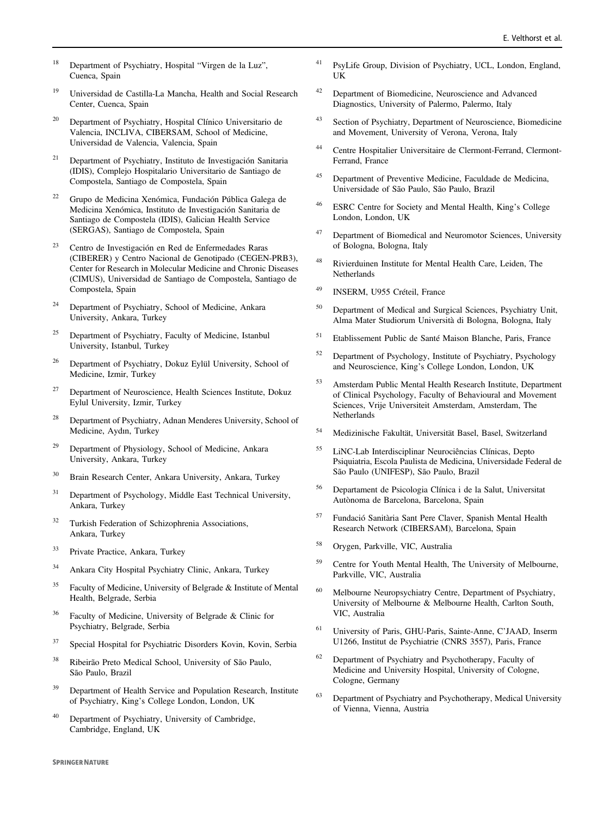- <sup>18</sup> Department of Psychiatry, Hospital "Virgen de la Luz", Cuenca, Spain
- <sup>19</sup> Universidad de Castilla-La Mancha, Health and Social Research Center, Cuenca, Spain
- <sup>20</sup> Department of Psychiatry, Hospital Clínico Universitario de Valencia, INCLIVA, CIBERSAM, School of Medicine, Universidad de Valencia, Valencia, Spain
- <sup>21</sup> Department of Psychiatry, Instituto de Investigación Sanitaria (IDIS), Complejo Hospitalario Universitario de Santiago de Compostela, Santiago de Compostela, Spain
- <sup>22</sup> Grupo de Medicina Xenómica, Fundación Pública Galega de Medicina Xenómica, Instituto de Investigación Sanitaria de Santiago de Compostela (IDIS), Galician Health Service (SERGAS), Santiago de Compostela, Spain
- <sup>23</sup> Centro de Investigación en Red de Enfermedades Raras (CIBERER) y Centro Nacional de Genotipado (CEGEN-PRB3), Center for Research in Molecular Medicine and Chronic Diseases (CIMUS), Universidad de Santiago de Compostela, Santiago de Compostela, Spain
- <sup>24</sup> Department of Psychiatry, School of Medicine, Ankara University, Ankara, Turkey
- <sup>25</sup> Department of Psychiatry, Faculty of Medicine, Istanbul University, Istanbul, Turkey
- <sup>26</sup> Department of Psychiatry, Dokuz Eylül University, School of Medicine, Izmir, Turkey
- <sup>27</sup> Department of Neuroscience, Health Sciences Institute, Dokuz Eylul University, Izmir, Turkey
- <sup>28</sup> Department of Psychiatry, Adnan Menderes University, School of Medicine, Aydın, Turkey
- <sup>29</sup> Department of Physiology, School of Medicine, Ankara University, Ankara, Turkey
- <sup>30</sup> Brain Research Center, Ankara University, Ankara, Turkey
- <sup>31</sup> Department of Psychology, Middle East Technical University, Ankara, Turkey
- <sup>32</sup> Turkish Federation of Schizophrenia Associations, Ankara, Turkey
- <sup>33</sup> Private Practice, Ankara, Turkey
- <sup>34</sup> Ankara City Hospital Psychiatry Clinic, Ankara, Turkey
- $35$  Faculty of Medicine, University of Belgrade & Institute of Mental Health, Belgrade, Serbia
- <sup>36</sup> Faculty of Medicine, University of Belgrade & Clinic for Psychiatry, Belgrade, Serbia
- <sup>37</sup> Special Hospital for Psychiatric Disorders Kovin, Kovin, Serbia
- <sup>38</sup> Ribeirão Preto Medical School, University of São Paulo, São Paulo, Brazil
- <sup>39</sup> Department of Health Service and Population Research, Institute of Psychiatry, King's College London, London, UK
- Department of Psychiatry, University of Cambridge, Cambridge, England, UK
- <sup>41</sup> PsyLife Group, Division of Psychiatry, UCL, London, England, UK
- <sup>42</sup> Department of Biomedicine, Neuroscience and Advanced Diagnostics, University of Palermo, Palermo, Italy
- <sup>43</sup> Section of Psychiatry, Department of Neuroscience, Biomedicine and Movement, University of Verona, Verona, Italy
- <sup>44</sup> Centre Hospitalier Universitaire de Clermont-Ferrand, Clermont-Ferrand, France
- <sup>45</sup> Department of Preventive Medicine, Faculdade de Medicina, Universidade of São Paulo, São Paulo, Brazil
- <sup>46</sup> ESRC Centre for Society and Mental Health, King's College London, London, UK
- <sup>47</sup> Department of Biomedical and Neuromotor Sciences, University of Bologna, Bologna, Italy
- <sup>48</sup> Rivierduinen Institute for Mental Health Care, Leiden, The **Netherlands**
- <sup>49</sup> INSERM, U955 Créteil, France
- <sup>50</sup> Department of Medical and Surgical Sciences, Psychiatry Unit, Alma Mater Studiorum Università di Bologna, Bologna, Italy
- <sup>51</sup> Etablissement Public de Santé Maison Blanche, Paris, France
- <sup>52</sup> Department of Psychology, Institute of Psychiatry, Psychology and Neuroscience, King's College London, London, UK
- <sup>53</sup> Amsterdam Public Mental Health Research Institute, Department of Clinical Psychology, Faculty of Behavioural and Movement Sciences, Vrije Universiteit Amsterdam, Amsterdam, The Netherlands
- <sup>54</sup> Medizinische Fakultät, Universität Basel, Basel, Switzerland
- <sup>55</sup> LiNC-Lab Interdisciplinar Neurociências Clínicas, Depto Psiquiatria, Escola Paulista de Medicina, Universidade Federal de São Paulo (UNIFESP), São Paulo, Brazil
- <sup>56</sup> Departament de Psicologia Clínica i de la Salut, Universitat Autònoma de Barcelona, Barcelona, Spain
- <sup>57</sup> Fundació Sanitària Sant Pere Claver, Spanish Mental Health Research Network (CIBERSAM), Barcelona, Spain
- <sup>58</sup> Orygen, Parkville, VIC, Australia
- <sup>59</sup> Centre for Youth Mental Health, The University of Melbourne, Parkville, VIC, Australia
- <sup>60</sup> Melbourne Neuropsychiatry Centre, Department of Psychiatry, University of Melbourne & Melbourne Health, Carlton South, VIC, Australia
- <sup>61</sup> University of Paris, GHU-Paris, Sainte-Anne, C'JAAD, Inserm U1266, Institut de Psychiatrie (CNRS 3557), Paris, France
- <sup>62</sup> Department of Psychiatry and Psychotherapy, Faculty of Medicine and University Hospital, University of Cologne, Cologne, Germany
- <sup>63</sup> Department of Psychiatry and Psychotherapy, Medical University of Vienna, Vienna, Austria